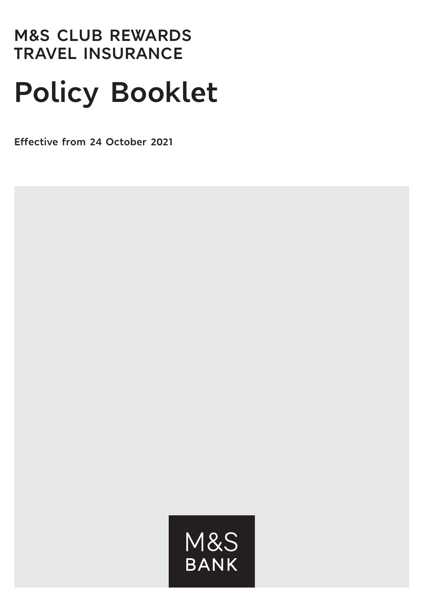# **M&S CLUB REWARDS TRAVEL INSURANCE**

# **Policy Booklet**

**Effective from 24 October 2021**

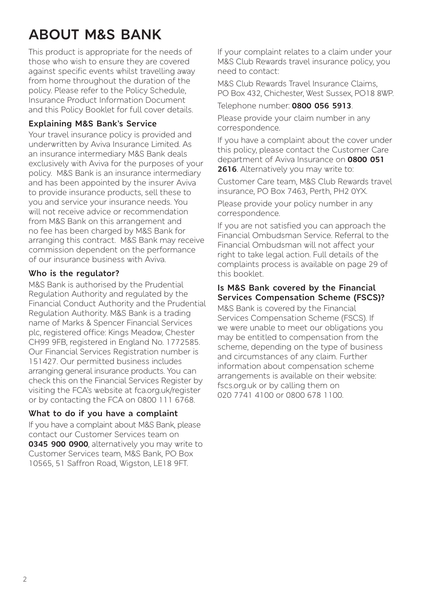# **ABOUT M&S BANK**

This product is appropriate for the needs of those who wish to ensure they are covered against specific events whilst travelling away from home throughout the duration of the policy. Please refer to the Policy Schedule, Insurance Product Information Document and this Policy Booklet for full cover details.

#### **Explaining M&S Bank's Service**

Your travel insurance policy is provided and underwritten by Aviva Insurance Limited. As an insurance intermediary M&S Bank deals exclusively with Aviva for the purposes of your policy. M&S Bank is an insurance intermediary and has been appointed by the insurer Aviva to provide insurance products, sell these to you and service your insurance needs. You will not receive advice or recommendation from M&S Bank on this arrangement and no fee has been charged by M&S Bank for arranging this contract. M&S Bank may receive commission dependent on the performance of our insurance business with Aviva.

#### **Who is the regulator?**

M&S Bank is authorised by the Prudential Regulation Authority and regulated by the Financial Conduct Authority and the Prudential Regulation Authority. M&S Bank is a trading name of Marks & Spencer Financial Services plc, registered office: Kings Meadow, Chester CH99 9FB, registered in England No. 1772585. Our Financial Services Registration number is 151427. Our permitted business includes arranging general insurance products. You can check this on the Financial Services Register by visiting the FCA's website at fca.org.uk/register or by contacting the FCA on 0800 111 6768.

#### **What to do if you have a complaint**

If you have a complaint about M&S Bank, please contact our Customer Services team on **0345 900 0900**, alternatively you may write to Customer Services team, M&S Bank, PO Box 10565, 51 Saffron Road, Wigston, LE18 9FT.

If your complaint relates to a claim under your M&S Club Rewards travel insurance policy, you need to contact:

M&S Club Rewards Travel Insurance Claims, PO Box 432, Chichester, West Sussex, PO18 8WP.

Telephone number: **0800 056 5913**.

Please provide your claim number in any correspondence.

If you have a complaint about the cover under this policy, please contact the Customer Care department of Aviva Insurance on **0800 051 2616**. Alternatively you may write to:

Customer Care team, M&S Club Rewards travel insurance, PO Box 7463, Perth, PH2 0YX.

Please provide your policy number in any correspondence.

If you are not satisfied you can approach the Financial Ombudsman Service. Referral to the Financial Ombudsman will not affect your right to take legal action. Full details of the complaints process is available on page 29 of this booklet.

#### **Is M&S Bank covered by the Financial Services Compensation Scheme (FSCS)?**

M&S Bank is covered by the Financial Services Compensation Scheme (FSCS). If we were unable to meet our obligations you may be entitled to compensation from the scheme, depending on the type of business and circumstances of any claim. Further information about compensation scheme arrangements is available on their website: fscs.org.uk or by calling them on 020 7741 4100 or 0800 678 1100.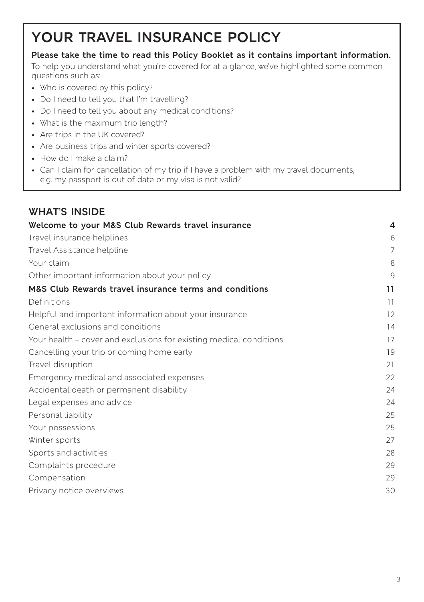# **YOUR TRAVEL INSURANCE POLICY**

#### **Please take the time to read this Policy Booklet as it contains important information.**

To help you understand what you're covered for at a glance, we've highlighted some common questions such as:

- Who is covered by this policy?
- Do I need to tell you that I'm travelling?
- Do I need to tell you about any medical conditions?
- What is the maximum trip length?
- Are trips in the UK covered?
- Are business trips and winter sports covered?
- How do I make a claim?
- Can I claim for cancellation of my trip if I have a problem with my travel documents, e.g. my passport is out of date or my visa is not valid?

| <b>WHAT'S INSIDE</b>                                               |    |
|--------------------------------------------------------------------|----|
| Welcome to your M&S Club Rewards travel insurance                  | 4  |
| Travel insurance helplines                                         | 6  |
| Travel Assistance helpline                                         | 7  |
| Your claim                                                         | 8  |
| Other important information about your policy                      | 9  |
| M&S Club Rewards travel insurance terms and conditions             | 11 |
| Definitions                                                        | 11 |
| Helpful and important information about your insurance             | 12 |
| General exclusions and conditions                                  | 14 |
| Your health – cover and exclusions for existing medical conditions | 17 |
| Cancelling your trip or coming home early                          | 19 |
| Travel disruption                                                  | 21 |
| Emergency medical and associated expenses                          | 22 |
| Accidental death or permanent disability                           | 24 |
| Legal expenses and advice                                          | 24 |
| Personal liability                                                 | 25 |
| Your possessions                                                   | 25 |
| Winter sports                                                      | 27 |
| Sports and activities                                              | 28 |
| Complaints procedure                                               | 29 |
| Compensation                                                       | 29 |
| Privacy notice overviews                                           | 30 |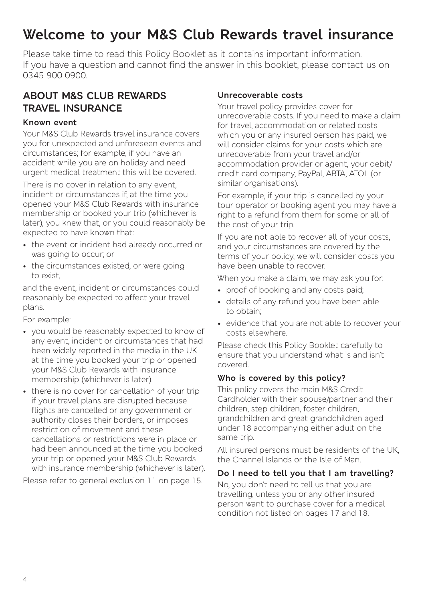# **Welcome to your M&S Club Rewards travel insurance**

Please take time to read this Policy Booklet as it contains important information. If you have a question and cannot find the answer in this booklet, please contact us on 0345 900 0900.

### **ABOUT M&S CLUB REWARDS TRAVEL INSURANCE**

#### **Known event**

Your M&S Club Rewards travel insurance covers you for unexpected and unforeseen events and circumstances; for example, if you have an accident while you are on holiday and need urgent medical treatment this will be covered.

There is no cover in relation to any event incident or circumstances if, at the time you opened your M&S Club Rewards with insurance membership or booked your trip (whichever is later), you knew that, or you could reasonably be expected to have known that:

- the event or incident had already occurred or was going to occur; or
- the circumstances existed, or were going to exist,

and the event, incident or circumstances could reasonably be expected to affect your travel plans.

For example:

- you would be reasonably expected to know of any event, incident or circumstances that had been widely reported in the media in the UK at the time you booked your trip or opened your M&S Club Rewards with insurance membership (whichever is later).
- there is no cover for cancellation of your trip if your travel plans are disrupted because flights are cancelled or any government or authority closes their borders, or imposes restriction of movement and these cancellations or restrictions were in place or had been announced at the time you booked your trip or opened your M&S Club Rewards with insurance membership (whichever is later).

Please refer to general exclusion 11 on page 15.

#### **Unrecoverable costs**

Your travel policy provides cover for unrecoverable costs. If you need to make a claim for travel, accommodation or related costs which you or any insured person has paid, we will consider claims for your costs which are unrecoverable from your travel and/or accommodation provider or agent, your debit/ credit card company, PayPal, ABTA, ATOL (or similar organisations).

For example, if your trip is cancelled by your tour operator or booking agent you may have a right to a refund from them for some or all of the cost of your trip.

If you are not able to recover all of your costs, and your circumstances are covered by the terms of your policy, we will consider costs you have been unable to recover.

When you make a claim, we may ask you for:

- proof of booking and any costs paid:
- details of any refund you have been able to obtain;
- evidence that you are not able to recover your costs elsewhere.

Please check this Policy Booklet carefully to ensure that you understand what is and isn't covered.

#### **Who is covered by this policy?**

This policy covers the main M&S Credit Cardholder with their spouse/partner and their children, step children, foster children, grandchildren and great grandchildren aged under 18 accompanying either adult on the same trip.

All insured persons must be residents of the UK, the Channel Islands or the Isle of Man.

#### **Do I need to tell you that I am travelling?**

No, you don't need to tell us that you are travelling, unless you or any other insured person want to purchase cover for a medical condition not listed on pages 17 and 18.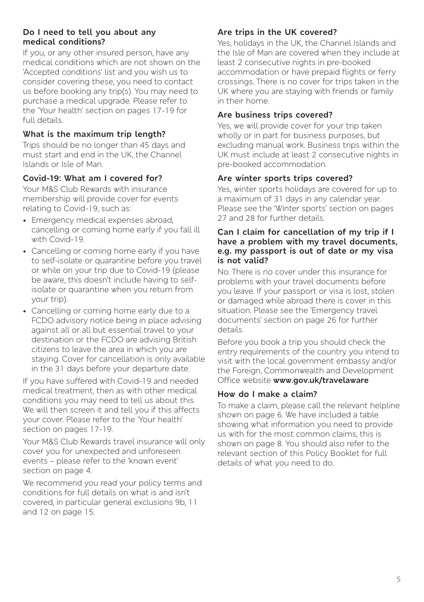#### **Do I need to tell you about any medical conditions?**

If you, or any other insured person, have any medical conditions which are not shown on the 'Accepted conditions' list and you wish us to consider covering these, you need to contact us before booking any trip(s). You may need to purchase a medical upgrade. Please refer to the 'Your health' section on pages 17-19 for full details.

#### **What is the maximum trip length?**

Trips should be no longer than 45 days and must start and end in the UK, the Channel Islands or Isle of Man.

#### **Covid-19: What am I covered for?**

Your M&S Club Rewards with insurance membership will provide cover for events relating to Covid-19, such as:

- Emergency medical expenses abroad, cancelling or coming home early if you fall ill with Covid-19.
- Cancelling or coming home early if you have to self-isolate or quarantine before you travel or while on your trip due to Covid-19 (please be aware, this doesn't include having to selfisolate or quarantine when you return from your trip).
- Cancelling or coming home early due to a FCDO advisory notice being in place advising against all or all but essential travel to your destination or the FCDO are advising British citizens to leave the area in which you are staying. Cover for cancellation is only available in the 31 days before your departure date.

If you have suffered with Covid-19 and needed medical treatment, then as with other medical conditions you may need to tell us about this. We will then screen it and tell you if this affects your cover. Please refer to the 'Your health' section on pages 17-19.

Your M&S Club Rewards travel insurance will only cover you for unexpected and unforeseen events – please refer to the 'known event' section on page 4.

We recommend you read your policy terms and conditions for full details on what is and isn't covered, in particular general exclusions 9b, 11 and 12 on page 15.

#### **Are trips in the UK covered?**

Yes, holidays in the UK, the Channel Islands and the Isle of Man are covered when they include at least 2 consecutive nights in pre-booked accommodation or have prepaid flights or ferry crossings. There is no cover for trips taken in the UK where you are staying with friends or family in their home.

#### **Are business trips covered?**

Yes, we will provide cover for your trip taken wholly or in part for business purposes, but excluding manual work. Business trips within the UK must include at least 2 consecutive nights in pre-booked accommodation.

#### **Are winter sports trips covered?**

Yes, winter sports holidays are covered for up to a maximum of 31 days in any calendar year. Please see the 'Winter sports' section on pages 27 and 28 for further details.

#### **Can I claim for cancellation of my trip if I have a problem with my travel documents, e.g. my passport is out of date or my visa is not valid?**

No. There is no cover under this insurance for problems with your travel documents before you leave. If your passport or visa is lost, stolen or damaged while abroad there is cover in this situation. Please see the 'Emergency travel documents' section on page 26 for further details.

Before you book a trip you should check the entry requirements of the country you intend to visit with the local government embassy and/or the Foreign, Commonwealth and Development Office website **[www.gov.uk/travelaware](http://www.gov.uk/travelaware)**

#### **How do I make a claim?**

To make a claim, please call the relevant helpline shown on page 6. We have included a table showing what information you need to provide us with for the most common claims, this is shown on page 8. You should also refer to the relevant section of this Policy Booklet for full details of what you need to do.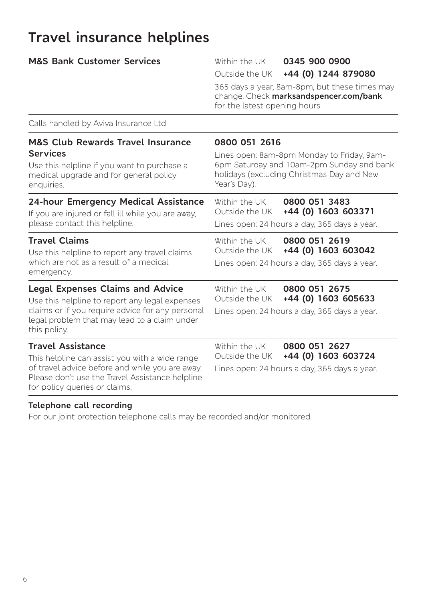# **Travel insurance helplines**

| <b>M&amp;S Bank Customer Services</b>                                                                                                                                                                             | Within the UK<br>0345 900 0900<br>+44 (0) 1244 879080<br>Outside the UK<br>365 days a year, 8am-8pm, but these times may<br>change. Check marksandspencer.com/bank<br>for the latest opening hours |  |
|-------------------------------------------------------------------------------------------------------------------------------------------------------------------------------------------------------------------|----------------------------------------------------------------------------------------------------------------------------------------------------------------------------------------------------|--|
| Calls handled by Aviva Insurance Ltd                                                                                                                                                                              |                                                                                                                                                                                                    |  |
| <b>M&amp;S Club Rewards Travel Insurance</b><br><b>Services</b><br>Use this helpline if you want to purchase a<br>medical upgrade and for general policy<br>enquiries.                                            | 0800 051 2616<br>Lines open: 8am-8pm Monday to Friday, 9am-<br>6pm Saturday and 10am-2pm Sunday and bank<br>holidays (excluding Christmas Day and New<br>Year's Day).                              |  |
| 24-hour Emergency Medical Assistance<br>If you are injured or fall ill while you are away,<br>please contact this helpline.                                                                                       | Within the UK<br>0800 051 3483<br>+44 (0) 1603 603371<br>Outside the UK<br>Lines open: 24 hours a day, 365 days a year.                                                                            |  |
| <b>Travel Claims</b><br>Use this helpline to report any travel claims<br>which are not as a result of a medical<br>emergency.                                                                                     | 0800 051 2619<br>Within the UK<br>+44 (0) 1603 603042<br>Outside the UK<br>Lines open: 24 hours a day, 365 days a year.                                                                            |  |
| <b>Legal Expenses Claims and Advice</b><br>Use this helpline to report any legal expenses<br>claims or if you require advice for any personal<br>legal problem that may lead to a claim under<br>this policy.     | Within the UK<br>0800 051 2675<br>+44 (0) 1603 605633<br>Outside the UK<br>Lines open: 24 hours a day, 365 days a year.                                                                            |  |
| <b>Travel Assistance</b><br>This helpline can assist you with a wide range<br>of travel advice before and while you are away.<br>Please don't use the Travel Assistance helpline<br>for policy queries or claims. | Within the UK<br>0800 051 2627<br>+44 (0) 1603 603724<br>Outside the UK<br>Lines open: 24 hours a day, 365 days a year.                                                                            |  |

#### **Telephone call recording**

For our joint protection telephone calls may be recorded and/or monitored.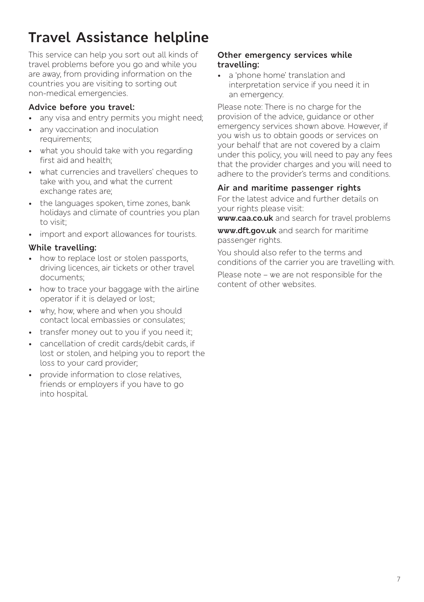# **Travel Assistance helpline**

This service can help you sort out all kinds of travel problems before you go and while you are away, from providing information on the countries you are visiting to sorting out non-medical emergencies.

#### **Advice before you travel:**

- any visa and entry permits you might need;
- any vaccination and inoculation requirements;
- what you should take with you regarding first aid and health;
- what currencies and travellers' cheques to take with you, and what the current exchange rates are;
- the languages spoken, time zones, bank holidays and climate of countries you plan to visit;
- import and export allowances for tourists.

#### **While travelling:**

- how to replace lost or stolen passports, driving licences, air tickets or other travel documents;
- how to trace your baggage with the airline operator if it is delayed or lost;
- why, how, where and when you should contact local embassies or consulates;
- transfer money out to you if you need it;
- cancellation of credit cards/debit cards, if lost or stolen, and helping you to report the loss to your card provider;
- provide information to close relatives, friends or employers if you have to go into hospital.

#### **Other emergency services while travelling:**

• a 'phone home' translation and interpretation service if you need it in an emergency.

Please note: There is no charge for the provision of the advice, guidance or other emergency services shown above. However, if you wish us to obtain goods or services on your behalf that are not covered by a claim under this policy, you will need to pay any fees that the provider charges and you will need to adhere to the provider's terms and conditions.

#### **Air and maritime passenger rights**

For the latest advice and further details on your rights please visit:

**[www.caa.co.uk](http://www.caa.co.uk/)** and search for travel problems

**[www.dft.gov.uk](http://www.dft.gov.uk/)** and search for maritime passenger rights.

You should also refer to the terms and conditions of the carrier you are travelling with.

Please note – we are not responsible for the content of other websites.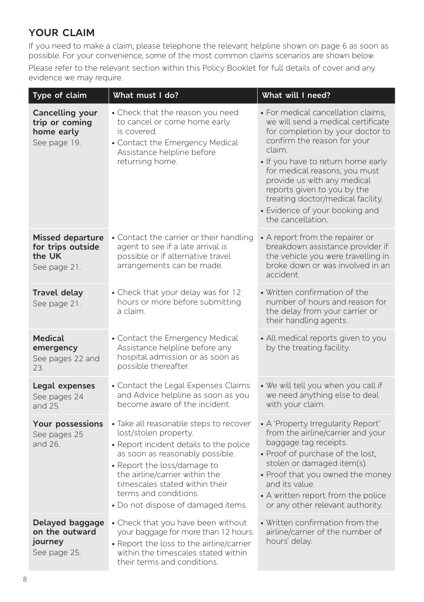# **YOUR CLAIM**

If you need to make a claim, please telephone the relevant helpline shown on page 6 as soon as possible. For your convenience, some of the most common claims scenarios are shown below.

Please refer to the relevant section within this Policy Booklet for full details of cover and any evidence we may require.

| Type of claim                                                          | What must I do?                                                                                                                                                                                                                                                                                                 | What will I need?                                                                                                                                                                                                                                                                                                                                                                      |
|------------------------------------------------------------------------|-----------------------------------------------------------------------------------------------------------------------------------------------------------------------------------------------------------------------------------------------------------------------------------------------------------------|----------------------------------------------------------------------------------------------------------------------------------------------------------------------------------------------------------------------------------------------------------------------------------------------------------------------------------------------------------------------------------------|
| Cancelling your<br>trip or coming<br>home early<br>See page 19.        | • Check that the reason you need<br>to cancel or come home early<br>is covered.<br>• Contact the Emergency Medical<br>Assistance helpline before<br>returning home.                                                                                                                                             | • For medical cancellation claims,<br>we will send a medical certificate<br>for completion by your doctor to<br>confirm the reason for your<br>claim.<br>. If you have to return home early<br>for medical reasons, you must<br>provide us with any medical<br>reports given to you by the<br>treating doctor/medical facility.<br>· Evidence of your booking and<br>the cancellation. |
| <b>Missed departure</b><br>for trips outside<br>the UK<br>See page 21. | • Contact the carrier or their handling<br>agent to see if a late arrival is<br>possible or if alternative travel<br>arrangements can be made.                                                                                                                                                                  | • A report from the repairer or<br>breakdown assistance provider if<br>the vehicle you were travelling in<br>broke down or was involved in an<br>accident.                                                                                                                                                                                                                             |
| Travel delay<br>See page 21.                                           | • Check that your delay was for 12<br>hours or more before submitting<br>a claim.                                                                                                                                                                                                                               | • Written confirmation of the<br>number of hours and reason for<br>the delay from your carrier or<br>their handling agents.                                                                                                                                                                                                                                                            |
| <b>Medical</b><br>emergency<br>See pages 22 and<br>23.                 | • Contact the Emergency Medical<br>Assistance helpline before any<br>hospital admission or as soon as<br>possible thereafter.                                                                                                                                                                                   | • All medical reports given to you<br>by the treating facility.                                                                                                                                                                                                                                                                                                                        |
| Legal expenses<br>See pages 24<br>and 25.                              | • Contact the Legal Expenses Claims<br>and Advice helpline as soon as you<br>become aware of the incident.                                                                                                                                                                                                      | • We will tell you when you call if<br>we need anything else to deal<br>with your claim.                                                                                                                                                                                                                                                                                               |
| <b>Your possessions</b><br>See pages 25<br>and 26.                     | • Take all reasonable steps to recover<br>lost/stolen property.<br>• Report incident details to the police<br>as soon as reasonably possible.<br>• Report the loss/damage to<br>the airline/carrier within the<br>timescales stated within their<br>terms and conditions.<br>· Do not dispose of damaged items. | • A 'Property Irregularity Report'<br>from the airline/carrier and your<br>baggage tag receipts.<br>• Proof of purchase of the lost,<br>stolen or damaged item(s).<br>• Proof that you owned the money<br>and its value.<br>• A written report from the police<br>or any other relevant authority.                                                                                     |
| Delayed baggage<br>on the outward<br>journey<br>See page 25.           | • Check that you have been without<br>your baggage for more than 12 hours.<br>• Report the loss to the airline/carrier<br>within the timescales stated within<br>their terms and conditions.                                                                                                                    | • Written confirmation from the<br>airline/carrier of the number of<br>hours' delay.                                                                                                                                                                                                                                                                                                   |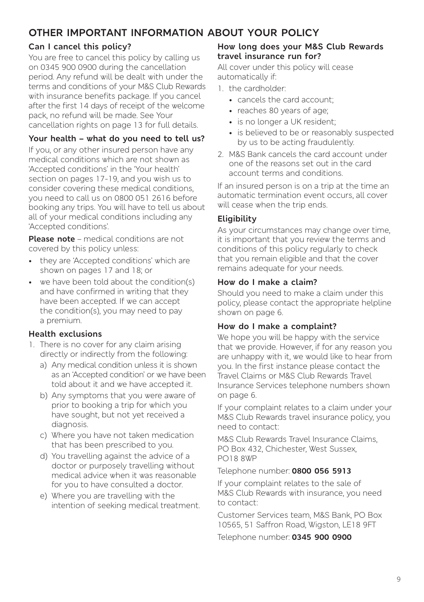# **OTHER IMPORTANT INFORMATION ABOUT YOUR POLICY**

#### **Can I cancel this policy?**

You are free to cancel this policy by calling us on 0345 900 0900 during the cancellation period. Any refund will be dealt with under the terms and conditions of your M&S Club Rewards with insurance benefits package. If you cancel after the first 14 days of receipt of the welcome pack, no refund will be made. See Your cancellation rights on page 13 for full details.

#### **Your health – what do you need to tell us?**

If you, or any other insured person have any medical conditions which are not shown as 'Accepted conditions' in the 'Your health' section on pages 17-19, and you wish us to consider covering these medical conditions, you need to call us on 0800 051 2616 before booking any trips. You will have to tell us about all of your medical conditions including any 'Accepted conditions'.

**Please note** – medical conditions are not covered by this policy unless:

- they are 'Accepted conditions' which are shown on pages 17 and 18; or
- we have been told about the condition(s) and have confirmed in writing that they have been accepted. If we can accept the condition(s), you may need to pay a premium.

#### **Health exclusions**

- 1. There is no cover for any claim arising directly or indirectly from the following:
	- a) Any medical condition unless it is shown as an 'Accepted condition' or we have been told about it and we have accepted it.
	- b) Any symptoms that you were aware of prior to booking a trip for which you have sought, but not yet received a diagnosis.
	- c) Where you have not taken medication that has been prescribed to you.
	- d) You travelling against the advice of a doctor or purposely travelling without medical advice when it was reasonable for you to have consulted a doctor.
	- e) Where you are travelling with the intention of seeking medical treatment.

#### **How long does your M&S Club Rewards travel insurance run for?**

All cover under this policy will cease automatically if:

- 1. the cardholder:
	- cancels the card account;
	- reaches 80 years of age;
	- is no longer a UK resident:
	- is believed to be or reasonably suspected by us to be acting fraudulently.
- 2. M&S Bank cancels the card account under one of the reasons set out in the card account terms and conditions.

If an insured person is on a trip at the time an automatic termination event occurs, all cover will cease when the trip ends.

#### **Eligibility**

As your circumstances may change over time, it is important that you review the terms and conditions of this policy regularly to check that you remain eligible and that the cover remains adequate for your needs.

#### **How do I make a claim?**

Should you need to make a claim under this policy, please contact the appropriate helpline shown on page 6.

#### **How do I make a complaint?**

We hope you will be happy with the service that we provide. However, if for any reason you are unhappy with it, we would like to hear from you. In the first instance please contact the Travel Claims or M&S Club Rewards Travel Insurance Services telephone numbers shown on page 6.

If your complaint relates to a claim under your M&S Club Rewards travel insurance policy, you need to contact:

M&S Club Rewards Travel Insurance Claims, PO Box 432, Chichester, West Sussex, PO18 8WP

#### Telephone number: **0800 056 5913**

If your complaint relates to the sale of M&S Club Rewards with insurance, you need to contact:

Customer Services team, M&S Bank, PO Box 10565, 51 Saffron Road, Wigston, LE18 9FT

Telephone number: **0345 900 0900**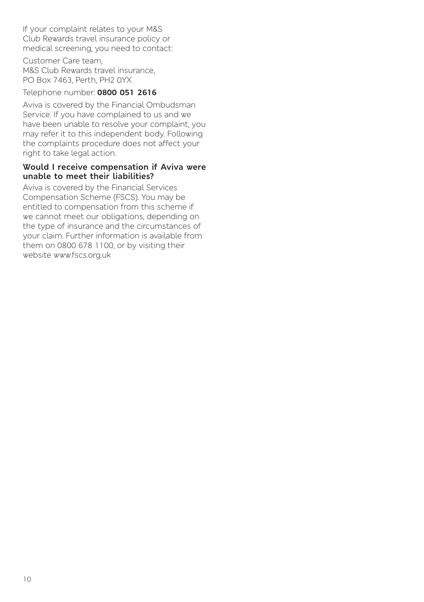If your complaint relates to your M&S Club Rewards travel insurance policy or medical screening, you need to contact:

Customer Care team, M&S Club Rewards travel insurance, PO Box 7463, Perth, PH2 0YX

#### Telephone number: **0800 051 2616**

Aviva is covered by the Financial Ombudsman Service. If you have complained to us and we have been unable to resolve your complaint, you may refer it to this independent body. Following the complaints procedure does not affect your right to take legal action.

#### **Would I receive compensation if Aviva were unable to meet their liabilities?**

Aviva is covered by the Financial Services Compensation Scheme (FSCS). You may be entitled to compensation from this scheme if we cannot meet our obligations, depending on the type of insurance and the circumstances of your claim. Further information is available from them on 0800 678 1100, or by visiting their website [www.fscs.org.uk](http://www.fscs.org.uk)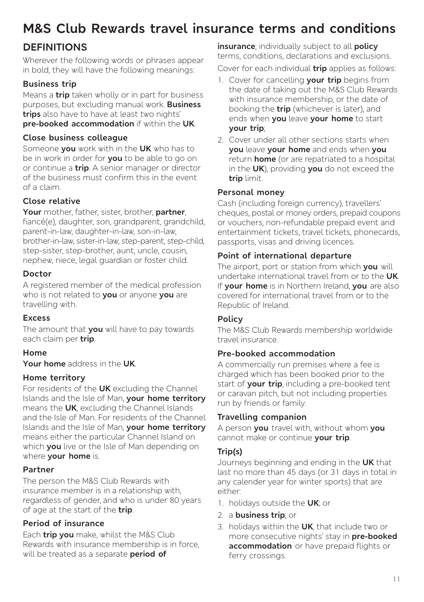# **M&S Club Rewards travel insurance terms and conditions**

# **DEFINITIONS**

Wherever the following words or phrases appear in bold, they will have the following meanings:

### **Business trip**

Means a **trip** taken wholly or in part for business purposes, but excluding manual work. **Business trips** also have to have at least two nights' **pre-booked accommodation** if within the **UK**.

#### **Close business colleague**

Someone **you** work with in the **UK** who has to be in work in order for **you** to be able to go on or continue a **trip**. A senior manager or director of the business must confirm this in the event of a claim.

#### **Close relative**

**Your** mother, father, sister, brother, **partner**, fiancé(e), daughter, son, grandparent, grandchild,

parent-in-law, daughter-in-law, son-in-law, brother-in-law, sister-in-law, step-parent, step-child, step-sister, step-brother, aunt, uncle, cousin, nephew, niece, legal guardian or foster child.

#### **Doctor**

A registered member of the medical profession who is not related to **you** or anyone **you** are travelling with.

#### **Excess**

The amount that **you** will have to pay towards each claim per **trip**.

#### **Home**

**Your home** address in the **UK**.

#### **Home territory**

For residents of the **UK** excluding the Channel Islands and the Isle of Man, **your home territory** means the **UK**, excluding the Channel Islands and the Isle of Man. For residents of the Channel Islands and the Isle of Man, **your home territory** means either the particular Channel Island on which **you** live or the Isle of Man depending on where **your home** is.

#### **Partner**

The person the M&S Club Rewards with insurance member is in a relationship with. regardless of gender, and who is under 80 years of age at the start of the **trip**.

#### **Period of insurance**

Each **trip you** make, whilst the M&S Club Rewards with insurance membership is in force, will be treated as a separate **period of** 

**insurance**; individually subject to all **policy** terms, conditions, declarations and exclusions.

Cover for each individual **trip** applies as follows:

- 1. Cover for cancelling **your trip** begins from the date of taking out the M&S Club Rewards with insurance membership, or the date of booking the **trip** (whichever is later), and ends when **you** leave **your home** to start **your trip**;
- 2. Cover under all other sections starts when **you** leave **your home** and ends when **you** return **home** (or are repatriated to a hospital in the **UK**), providing **you** do not exceed the **trip** limit.

#### **Personal money**

Cash (including foreign currency), travellers' cheques, postal or money orders, prepaid coupons or vouchers, non-refundable prepaid event and entertainment tickets, travel tickets, phonecards, passports, visas and driving licences.

#### **Point of international departure**

The airport, port or station from which **you** will undertake international travel from or to the **UK**. If **your home** is in Northern Ireland, **you** are also covered for international travel from or to the Republic of Ireland.

#### **Policy**

The M&S Club Rewards membership worldwide travel insurance.

#### **Pre-booked accommodation**

A commercially run premises where a fee is charged which has been booked prior to the start of **your trip**, including a pre-booked tent or caravan pitch, but not including properties run by friends or family.

#### **Travelling companion**

A person **you** travel with, without whom **you**  cannot make or continue **your trip**.

#### **Trip(s)**

Journeys beginning and ending in the **UK** that last no more than 45 days (or 31 days in total in any calender year for winter sports) that are either:

- 1. holidays outside the **UK**; or
- 2. a **business trip**; or
- 3. holidays within the **UK**, that include two or more consecutive nights' stay in **pre-booked accommodation** or have prepaid flights or ferry crossings.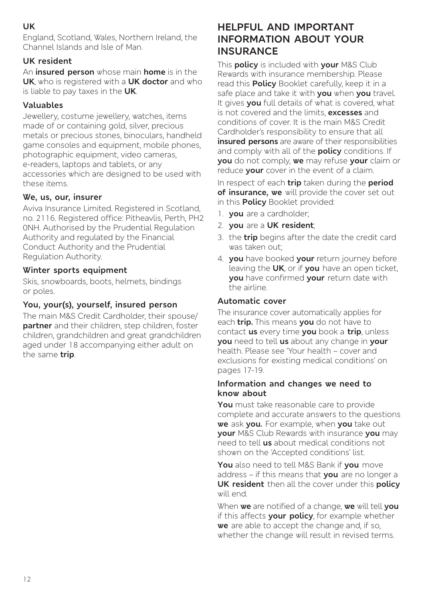#### **UK**

England, Scotland, Wales, Northern Ireland, the Channel Islands and Isle of Man.

#### **UK resident**

An **insured person** whose main **home** is in the **UK**, who is registered with a **UK doctor** and who is liable to pay taxes in the **UK**.

#### **Valuables**

Jewellery, costume jewellery, watches, items made of or containing gold, silver, precious metals or precious stones, binoculars, handheld game consoles and equipment, mobile phones, photographic equipment, video cameras, e-readers, laptops and tablets, or any accessories which are designed to be used with these items.

#### **We, us, our, insurer**

Aviva Insurance Limited. Registered in Scotland, no. 2116. Registered office: Pitheavlis, Perth, PH2 0NH. Authorised by the Prudential Regulation Authority and regulated by the Financial Conduct Authority and the Prudential Regulation Authority.

#### **Winter sports equipment**

Skis, snowboards, boots, helmets, bindings or poles.

#### **You, your(s), yourself, insured person**

The main M&S Credit Cardholder, their spouse/ **partner** and their children, step children, foster children, grandchildren and great grandchildren aged under 18 accompanying either adult on the same **trip**.

# **HELPFUL AND IMPORTANT INFORMATION ABOUT YOUR INSURANCE**

This **policy** is included with **your** M&S Club Rewards with insurance membership. Please read this **Policy** Booklet carefully, keep it in a safe place and take it with **you** when **you** travel. It gives **you** full details of what is covered, what is not covered and the limits, **excesses** and conditions of cover. It is the main M&S Credit Cardholder's responsibility to ensure that all **insured persons** are aware of their responsibilities and comply with all of the **policy** conditions. If **you** do not comply, **we** may refuse **your** claim or reduce **your** cover in the event of a claim.

In respect of each **trip** taken during the **period of insurance, we** will provide the cover set out in this **Policy** Booklet provided:

- 1. **you** are a cardholder;
- 2. **you** are a **UK resident**;
- 3. the **trip** begins after the date the credit card was taken out;
- 4. **you** have booked **your** return journey before leaving the **UK**, or if **you** have an open ticket, **you** have confirmed **your** return date with the airline.

#### **Automatic cover**

The insurance cover automatically applies for each **trip.** This means **you** do not have to contact **us** every time **you** book a **trip**, unless **you** need to tell **us** about any change in **your**  health. Please see 'Your health – cover and exclusions for existing medical conditions' on pages 17-19.

#### **Information and changes we need to know about**

**You** must take reasonable care to provide complete and accurate answers to the questions **we** ask **you.** For example, when **you** take out **your** M&S Club Rewards with insurance **you** may need to tell **us** about medical conditions not shown on the 'Accepted conditions' list.

**You** also need to tell M&S Bank if **you** move address – if this means that **you** are no longer a **UK resident** then all the cover under this **policy** will end.

When **we** are notified of a change, **we** will tell **you** if this affects **your policy**, for example whether **we** are able to accept the change and, if so, whether the change will result in revised terms.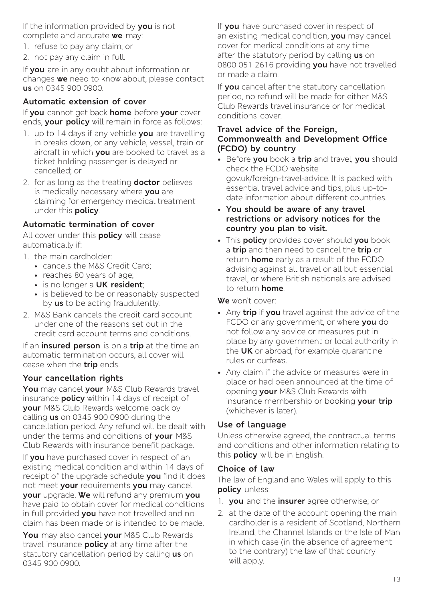If the information provided by **you** is not complete and accurate **we** may:

- 1. refuse to pay any claim; or
- 2. not pay any claim in full.

If **you** are in any doubt about information or changes **we** need to know about, please contact **us** on 0345 900 0900.

#### **Automatic extension of cover**

If **you** cannot get back **home** before **your** cover ends, **your policy** will remain in force as follows:

- 1. up to 14 days if any vehicle **you** are travelling in breaks down, or any vehicle, vessel, train or aircraft in which **you** are booked to travel as a ticket holding passenger is delayed or cancelled; or
- 2. for as long as the treating **doctor** believes is medically necessary where **you** are claiming for emergency medical treatment under this **policy**.

#### **Automatic termination of cover**

All cover under this **policy** will cease automatically if:

- 1. the main cardholder:
	- cancels the M&S Credit Card;
	- reaches 80 years of age;
	- is no longer a **UK resident**;
	- is believed to be or reasonably suspected by **us** to be acting fraudulently.
- 2. M&S Bank cancels the credit card account under one of the reasons set out in the credit card account terms and conditions.

If an **insured person** is on a **trip** at the time an automatic termination occurs, all cover will cease when the **trip** ends.

#### **Your cancellation rights**

**You** may cancel **your** M&S Club Rewards travel insurance **policy** within 14 days of receipt of **your** M&S Club Rewards welcome pack by calling **us** on 0345 900 0900 during the cancellation period. Any refund will be dealt with under the terms and conditions of **your** M&S Club Rewards with insurance benefit package.

If **you** have purchased cover in respect of an existing medical condition and within 14 days of receipt of the upgrade schedule **you** find it does not meet **your** requirements **you** may cancel **your** upgrade. **We** will refund any premium **you** have paid to obtain cover for medical conditions in full provided **you** have not travelled and no claim has been made or is intended to be made.

**You** may also cancel **your** M&S Club Rewards travel insurance **policy** at any time after the statutory cancellation period by calling **us** on 0345 900 0900.

If **you** have purchased cover in respect of an existing medical condition, **you** may cancel cover for medical conditions at any time after the statutory period by calling **us** on 0800 051 2616 providing **you** have not travelled or made a claim.

If **you** cancel after the statutory cancellation period, no refund will be made for either M&S Club Rewards travel insurance or for medical conditions cover.

#### **Travel advice of the Foreign, Commonwealth and Development Office (FCDO) by country**

- Before **you** book a **trip** and travel, **you** should check the FCDO website gov.uk/foreign-travel-advice. It is packed with essential travel advice and tips, plus up-todate information about different countries.
- **You should be aware of any travel restrictions or advisory notices for the country you plan to visit.**
- This **policy** provides cover should **you** book a **trip** and then need to cancel the **trip** or return **home** early as a result of the FCDO advising against all travel or all but essential travel, or where British nationals are advised to return **home**.

#### **We** won't cover:

- Any **trip** if **you** travel against the advice of the FCDO or any government, or where **you** do not follow any advice or measures put in place by any government or local authority in the **UK** or abroad, for example quarantine rules or curfews.
- Any claim if the advice or measures were in place or had been announced at the time of opening **your** M&S Club Rewards with insurance membership or booking **your trip** (whichever is later).

#### **Use of language**

Unless otherwise agreed, the contractual terms and conditions and other information relating to this **policy** will be in English.

#### **Choice of law**

The law of England and Wales will apply to this **policy** unless:

- 1. **you** and the **insurer** agree otherwise; or
- 2. at the date of the account opening the main cardholder is a resident of Scotland, Northern Ireland, the Channel Islands or the Isle of Man in which case (in the absence of agreement to the contrary) the law of that country will apply.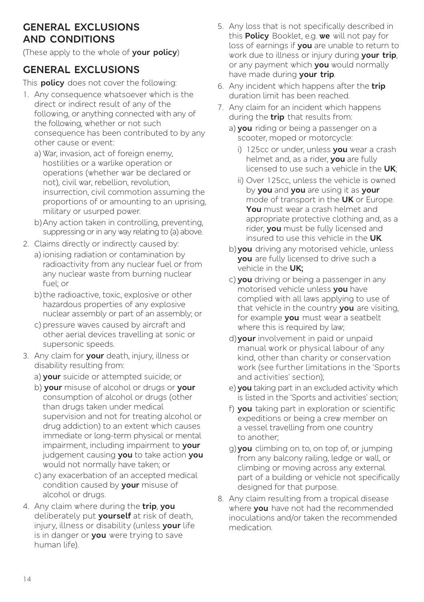### **GENERAL EXCLUSIONS AND CONDITIONS**

(These apply to the whole of **your policy**)

# **GENERAL EXCLUSIONS**

This **policy** does not cover the following:

- 1. Any consequence whatsoever which is the direct or indirect result of any of the following, or anything connected with any of the following, whether or not such consequence has been contributed to by any other cause or event:
	- a) War, invasion, act of foreign enemy. hostilities or a warlike operation or operations (whether war be declared or not), civil war, rebellion, revolution, insurrection, civil commotion assuming the proportions of or amounting to an uprising, military or usurped power.
	- b)Any action taken in controlling, preventing, suppressing or in any way relating to (a) above.
- 2. Claims directly or indirectly caused by:
	- a) ionising radiation or contamination by radioactivity from any nuclear fuel or from any nuclear waste from burning nuclear fuel; or
	- b) the radioactive, toxic, explosive or other hazardous properties of any explosive nuclear assembly or part of an assembly; or
	- c) pressure waves caused by aircraft and other aerial devices travelling at sonic or supersonic speeds.
- 3. Any claim for **your** death, injury, illness or disability resulting from:
	- a) **your** suicide or attempted suicide; or
	- b) **your** misuse of alcohol or drugs or **your** consumption of alcohol or drugs (other than drugs taken under medical supervision and not for treating alcohol or drug addiction) to an extent which causes immediate or long-term physical or mental impairment, including impairment to **your** judgement causing **you** to take action **you** would not normally have taken; or
	- c) any exacerbation of an accepted medical condition caused by **your** misuse of alcohol or drugs.
- 4. Any claim where during the **trip**, **you** deliberately put **yourself** at risk of death, injury, illness or disability (unless **your** life is in danger or **you** were trying to save human life).
- 5. Any loss that is not specifically described in this **Policy** Booklet, e.g. **we** will not pay for loss of earnings if **you** are unable to return to work due to illness or injury during **your trip**, or any payment which **you** would normally have made during **your trip**.
- 6. Any incident which happens after the **trip**  duration limit has been reached.
- 7. Any claim for an incident which happens during the **trip** that results from:
	- a) **you** riding or being a passenger on a scooter, moped or motorcycle:
		- i) 125cc or under, unless **you** wear a crash helmet and, as a rider, **you** are fully licensed to use such a vehicle in the **UK**;
		- ii) Over 125cc, unless the vehicle is owned by **you** and **you** are using it as **your** mode of transport in the **UK** or Europe. **You** must wear a crash helmet and appropriate protective clothing and, as a rider, **you** must be fully licensed and insured to use this vehicle in the **UK**.
	- b)**you** driving any motorised vehicle, unless **you** are fully licensed to drive such a vehicle in the **UK;**
	- c) **you** driving or being a passenger in any motorised vehicle unless **you** have complied with all laws applying to use of that vehicle in the country **you** are visiting, for example **you** must wear a seatbelt where this is required by law;
	- d)**your** involvement in paid or unpaid manual work or physical labour of any kind, other than charity or conservation work (see further limitations in the 'Sports and activities' section);
	- e) **you** taking part in an excluded activity which is listed in the 'Sports and activities' section;
	- f) **you** taking part in exploration or scientific expeditions or being a crew member on a vessel travelling from one country to another;
	- g)**you** climbing on to, on top of, or jumping from any balcony railing, ledge or wall, or climbing or moving across any external part of a building or vehicle not specifically designed for that purpose.
- 8. Any claim resulting from a tropical disease where **you** have not had the recommended inoculations and/or taken the recommended medication.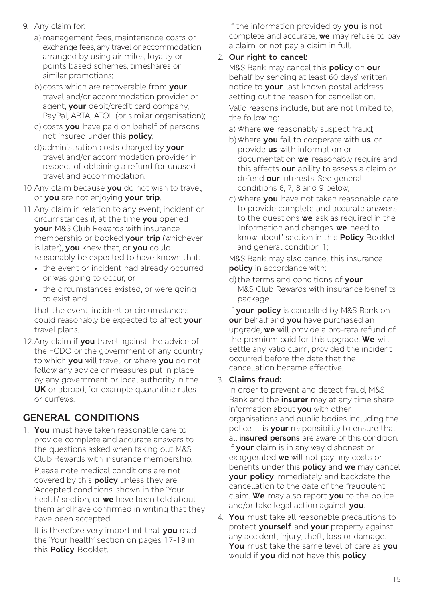- 9. Any claim for:
	- a) management fees, maintenance costs or exchange fees, any travel or accommodation arranged by using air miles, loyalty or points based schemes, timeshares or similar promotions;
	- b)costs which are recoverable from **your** travel and/or accommodation provider or agent, **your** debit/credit card company, PayPal, ABTA, ATOL (or similar organisation);
	- c) costs **you** have paid on behalf of persons not insured under this **policy**;
	- d)administration costs charged by **your** travel and/or accommodation provider in respect of obtaining a refund for unused travel and accommodation.
- 10. Any claim because **you** do not wish to travel, or **you** are not enjoying **your trip**.
- 11. Any claim in relation to any event, incident or circumstances if, at the time **you** opened **your** M&S Club Rewards with insurance membership or booked **your trip** (whichever is later), **you** knew that, or **you** could reasonably be expected to have known that:
	- the event or incident had already occurred or was going to occur, or
	- the circumstances existed, or were going to exist and

that the event, incident or circumstances could reasonably be expected to affect **your** travel plans.

12.Any claim if **you** travel against the advice of the FCDO or the government of any country to which **you** will travel, or where **you** do not follow any advice or measures put in place by any government or local authority in the **UK** or abroad, for example quarantine rules or curfews.

# **GENERAL CONDITIONS**

1. **You** must have taken reasonable care to provide complete and accurate answers to the questions asked when taking out M&S Club Rewards with insurance membership.

Please note medical conditions are not covered by this **policy** unless they are 'Accepted conditions' shown in the 'Your health' section, or **we** have been told about them and have confirmed in writing that they have been accepted.

It is therefore very important that **you** read the 'Your health' section on pages 17-19 in this **Policy** Booklet.

If the information provided by **you** is not complete and accurate, **we** may refuse to pay a claim, or not pay a claim in full.

#### 2. **Our right to cancel:**

M&S Bank may cancel this **policy** on **our** behalf by sending at least 60 days' written notice to **your** last known postal address setting out the reason for cancellation. Valid reasons include, but are not limited to, the following:

- a) Where **we** reasonably suspect fraud;
- b)Where **you** fail to cooperate with **us** or provide **us** with information or documentation **we** reasonably require and this affects **our** ability to assess a claim or defend **our** interests. See general conditions 6, 7, 8 and 9 below;
- c) Where **you** have not taken reasonable care to provide complete and accurate answers to the questions **we** ask as required in the 'Information and changes **we** need to know about' section in this **Policy** Booklet and general condition 1;

M&S Bank may also cancel this insurance **policy** in accordance with:

d) the terms and conditions of **your**  M&S Club Rewards with insurance benefits package.

If **your policy** is cancelled by M&S Bank on **our** behalf and **you** have purchased an upgrade, **we** will provide a pro-rata refund of the premium paid for this upgrade. **We** will settle any valid claim, provided the incident occurred before the date that the cancellation became effective.

#### 3. **Claims fraud:**

In order to prevent and detect fraud, M&S Bank and the **insurer** may at any time share information about **you** with other organisations and public bodies including the police. It is **your** responsibility to ensure that all **insured persons** are aware of this condition. If **your** claim is in any way dishonest or exaggerated **we** will not pay any costs or benefits under this **policy** and **we** may cancel **your policy** immediately and backdate the cancellation to the date of the fraudulent claim. **We** may also report **you** to the police and/or take legal action against **you**.

4. **You** must take all reasonable precautions to protect **yourself** and **your** property against any accident, injury, theft, loss or damage. **You** must take the same level of care as **you** would if **you** did not have this **policy**.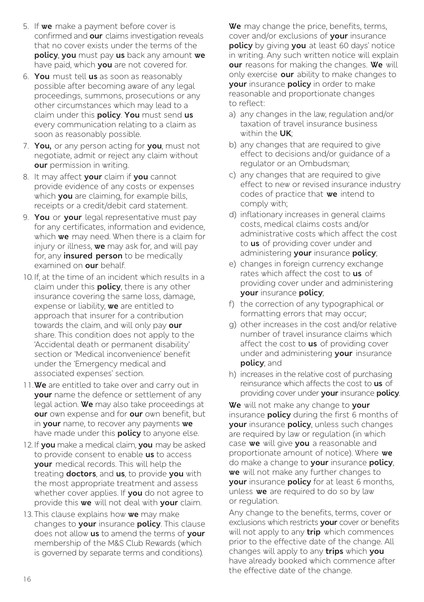- 5. If **we** make a payment before cover is confirmed and **our** claims investigation reveals that no cover exists under the terms of the **policy**, **you** must pay **us** back any amount **we** have paid, which **you** are not covered for.
- 6. **You** must tell **us** as soon as reasonably possible after becoming aware of any legal proceedings, summons, prosecutions or any other circumstances which may lead to a claim under this **policy**. **You** must send **us** every communication relating to a claim as soon as reasonably possible.
- 7. **You,** or any person acting for **you**, must not negotiate, admit or reject any claim without **our** permission in writing.
- 8. It may affect **your** claim if **you** cannot provide evidence of any costs or expenses which **you** are claiming, for example bills, receipts or a credit/debit card statement.
- 9. **You** or **your** legal representative must pay for any certificates, information and evidence, which **we** may need. When there is a claim for injury or illness, **we** may ask for, and will pay for, any **insured person** to be medically examined on **our** behalf.
- 10. If, at the time of an incident which results in a claim under this **policy**, there is any other insurance covering the same loss, damage, expense or liability, **we** are entitled to approach that insurer for a contribution towards the claim, and will only pay **our**  share. This condition does not apply to the 'Accidental death or permanent disability' section or 'Medical inconvenience' benefit under the 'Emergency medical and associated expenses' section.
- 11.**We** are entitled to take over and carry out in **your** name the defence or settlement of any legal action. **We** may also take proceedings at **our** own expense and for **our** own benefit, but in **your** name, to recover any payments **we** have made under this **policy** to anyone else.
- 12. If **you** make a medical claim, **you** may be asked to provide consent to enable **us** to access **your** medical records. This will help the treating **doctors**, and **us**, to provide **you** with the most appropriate treatment and assess whether cover applies. If **you** do not agree to provide this **we** will not deal with **your** claim.
- 13. This clause explains how **we** may make changes to **your** insurance **policy**. This clause does not allow **us** to amend the terms of **your**  membership of the M&S Club Rewards (which is governed by separate terms and conditions).

**We** may change the price, benefits, terms, cover and/or exclusions of **your** insurance **policy** by giving **you** at least 60 days' notice in writing. Any such written notice will explain **our** reasons for making the changes. **We** will only exercise **our** ability to make changes to **your** insurance **policy** in order to make reasonable and proportionate changes to reflect:

- a) any changes in the law, regulation and/or taxation of travel insurance business within the **UK**;
- b) any changes that are required to give effect to decisions and/or guidance of a regulator or an Ombudsman;
- c) any changes that are required to give effect to new or revised insurance industry codes of practice that **we** intend to comply with;
- d) inflationary increases in general claims costs, medical claims costs and/or administrative costs which affect the cost to **us** of providing cover under and administering **your** insurance **policy**;
- e) changes in foreign currency exchange rates which affect the cost to **us** of providing cover under and administering **your** insurance **policy**;
- f) the correction of any typographical or formatting errors that may occur;
- g) other increases in the cost and/or relative number of travel insurance claims which affect the cost to **us** of providing cover under and administering **your** insurance **policy**; and
- h) increases in the relative cost of purchasing reinsurance which affects the cost to **us** of providing cover under **your** insurance **policy**.

**We** will not make any change to **your** insurance **policy** during the first 6 months of **your** insurance **policy**, unless such changes are required by law or regulation (in which case **we** will give **you** a reasonable and proportionate amount of notice). Where **we**  do make a change to **your** insurance **policy**, **we** will not make any further changes to **your** insurance **policy** for at least 6 months, unless **we** are required to do so by law or regulation.

Any change to the benefits, terms, cover or exclusions which restricts **your** cover or benefits will not apply to any **trip** which commences prior to the effective date of the change. All changes will apply to any **trips** which **you**  have already booked which commence after the effective date of the change.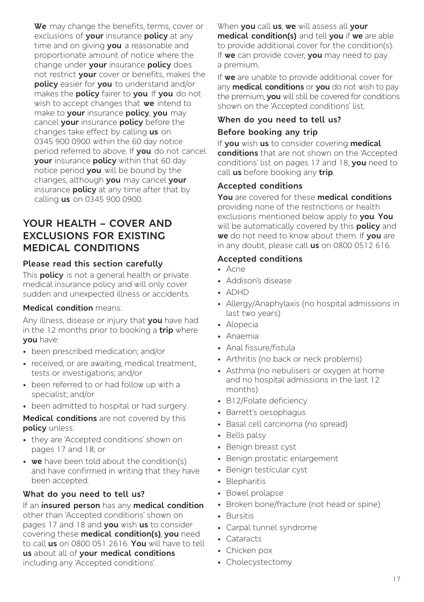**We** may change the benefits, terms, cover or exclusions of **your** insurance **policy** at any time and on giving **you** a reasonable and proportionate amount of notice where the change under **your** insurance **policy** does not restrict **your** cover or benefits, makes the **policy** easier for **you** to understand and/or makes the **policy** fairer to **you**. If **you** do not wish to accept changes that **we** intend to make to **your** insurance **policy**, **you** may cancel **your** insurance **policy** before the changes take effect by calling **us** on 0345 900 0900 within the 60 day notice period referred to above. If **you** do not cancel **your** insurance **policy** within that 60 day notice period **you** will be bound by the changes, although **you** may cancel **your** insurance **policy** at any time after that by calling **us** on 0345 900 0900.

### **YOUR HEALTH – COVER AND EXCLUSIONS FOR EXISTING MEDICAL CONDITIONS**

#### **Please read this section carefully**

This **policy** is not a general health or private medical insurance policy and will only cover sudden and unexpected illness or accidents.

#### **Medical condition** means:

Any illness, disease or injury that **you** have had in the 12 months prior to booking a **trip** where **you** have:

- been prescribed medication; and/or
- received, or are awaiting, medical treatment, tests or investigations; and/or
- been referred to or had follow up with a specialist; and/or
- been admitted to hospital or had surgery.

**Medical conditions** are not covered by this **policy** unless:

- they are 'Accepted conditions' shown on pages 17 and 18; or
- **we** have been told about the condition(s) and have confirmed in writing that they have been accepted.

#### **What do you need to tell us?**

If an **insured person** has any **medical condition** other than 'Accepted conditions' shown on pages 17 and 18 and **you** wish **us** to consider covering these **medical condition(s)**, **you** need to call **us** on 0800 051 2616. **You** will have to tell **us** about all of **your medical conditions** including any 'Accepted conditions'.

When **you** call **us**, **we** will assess all **your medical condition(s)** and tell **you** if **we** are able to provide additional cover for the condition(s). If **we** can provide cover, **you** may need to pay a premium.

If **we** are unable to provide additional cover for any **medical conditions** or **you** do not wish to pay the premium, **you** will still be covered for conditions shown on the 'Accepted conditions' list.

# **When do you need to tell us?**

#### **Before booking any trip**

If **you** wish **us** to consider covering **medical conditions** that are not shown on the 'Accepted conditions' list on pages 17 and 18, **you** need to call **us** before booking any **trip**.

#### **Accepted conditions**

**You** are covered for these **medical conditions** providing none of the restrictions or health exclusions mentioned below apply to **you**. **You** will be automatically covered by this **policy** and **we** do not need to know about them. If **you** are in any doubt, please call **us** on 0800 0512 616.

#### **Accepted conditions**

- Acne
- Addison's disease
- ADHD
- Allergy/Anaphylaxis (no hospital admissions in last two years)
- Alopecia
- Anaemia
- Anal fissure/fistula
- Arthritis (no back or neck problems)
- Asthma (no nebulisers or oxygen at home and no hospital admissions in the last 12 months)
- B12/Folate deficiency
- Barrett's oesophagus
- Basal cell carcinoma (no spread)
- Bells palsy
- Benign breast cyst
- Benign prostatic enlargement
- Benign testicular cyst
- Blepharitis
- Bowel prolapse
- Broken bone/fracture (not head or spine)
- Bursitis
- Carpal tunnel syndrome
- Cataracts
- Chicken pox
- Cholecystectomy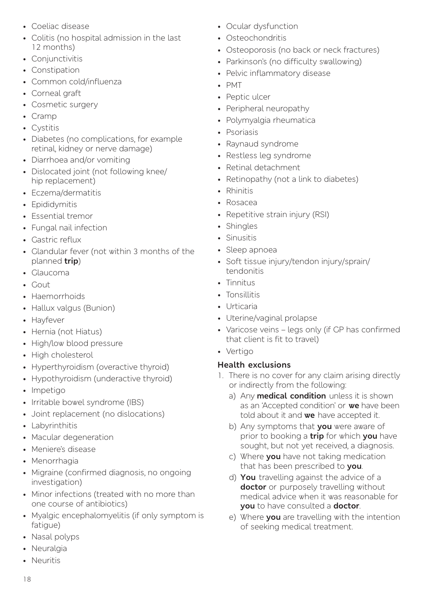- Coeliac disease
- Colitis (no hospital admission in the last 12 months)
- Conjunctivitis
- Constipation
- Common cold/influenza
- Corneal graft
- Cosmetic surgery
- Cramp
- Cystitis
- Diabetes (no complications, for example retinal, kidney or nerve damage)
- Diarrhoea and/or vomiting
- Dislocated joint (not following knee/ hip replacement)
- Eczema/dermatitis
- Epididymitis
- Essential tremor
- Fungal nail infection
- Gastric reflux
- Glandular fever (not within 3 months of the planned **trip**)
- Glaucoma
- Gout
- Haemorrhoids
- Hallux valgus (Bunion)
- Hayfever
- Hernia (not Hiatus)
- High/low blood pressure
- High cholesterol
- Hyperthyroidism (overactive thyroid)
- Hypothyroidism (underactive thyroid)
- Impetigo
- Irritable bowel syndrome (IBS)
- Joint replacement (no dislocations)
- Labyrinthitis
- Macular degeneration
- Meniere's disease
- Menorrhagia
- Migraine (confirmed diagnosis, no ongoing investigation)
- Minor infections (treated with no more than one course of antibiotics)
- Myalgic encephalomyelitis (if only symptom is fatigue)
- Nasal polyps
- Neuralgia
- Neuritis
- Ocular dysfunction
- Osteochondritis
- Osteoporosis (no back or neck fractures)
- Parkinson's (no difficulty swallowing)
- Pelvic inflammatory disease
- PMT
- Peptic ulcer
- Peripheral neuropathy
- Polymyalgia rheumatica
- Psoriasis
- Raynaud syndrome
- Restless leg syndrome
- Retinal detachment
- Retinopathy (not a link to diabetes)
- Rhinitis
- Rosacea
- Repetitive strain injury (RSI)
- Shingles
- Sinusitis
- Sleep apnoea
- Soft tissue injury/tendon injury/sprain/ tendonitis
- Tinnitus
- Tonsillitis
- Urticaria
- Uterine/vaginal prolapse
- Varicose veins legs only (if GP has confirmed that client is fit to travel)
- Vertigo

#### **Health exclusions**

- 1. There is no cover for any claim arising directly or indirectly from the following:
	- a) Any **medical condition** unless it is shown as an 'Accepted condition' or **we** have been told about it and **we** have accepted it.
	- b) Any symptoms that **you** were aware of prior to booking a **trip** for which **you** have sought, but not yet received, a diagnosis.
	- c) Where **you** have not taking medication that has been prescribed to **you**.
	- d) **You** travelling against the advice of a **doctor** or purposely travelling without medical advice when it was reasonable for **you** to have consulted a **doctor**.
	- e) Where **you** are travelling with the intention of seeking medical treatment.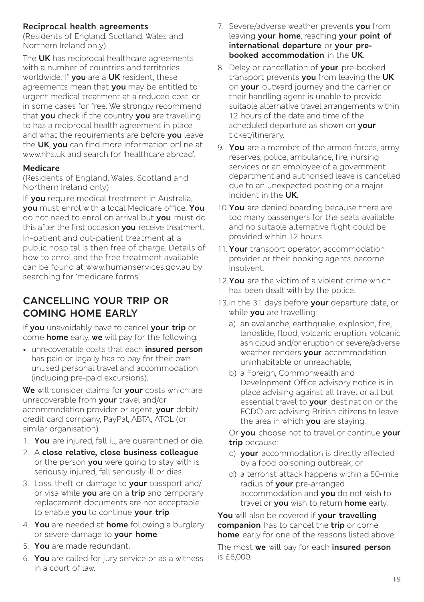#### **Reciprocal health agreements**

(Residents of England, Scotland, Wales and Northern Ireland only)

The **UK** has reciprocal healthcare agreements with a number of countries and territories worldwide. If **you** are a **UK** resident, these agreements mean that **you** may be entitled to urgent medical treatment at a reduced cost, or in some cases for free. We strongly recommend that **you** check if the country **you** are travelling to has a reciprocal health agreement in place and what the requirements are before **you** leave the **UK**, **you** can find more information online at www.nhs.uk and search for 'healthcare abroad'.

#### **Medicare**

(Residents of England, Wales, Scotland and Northern Ireland only)

If **you** require medical treatment in Australia, **you** must enrol with a local Medicare office. **You**  do not need to enrol on arrival but **you** must do this after the first occasion **you** receive treatment.

In-patient and out-patient treatment at a public hospital is then free of charge. Details of how to enrol and the free treatment available can be found at www.humanservices.gov.au by searching for 'medicare forms'.

### **CANCELLING YOUR TRIP OR COMING HOME EARLY**

If **you** unavoidably have to cancel **your trip** or come **home** early, **we** will pay for the following:

• unrecoverable costs that each **insured person** has paid or legally has to pay for their own unused personal travel and accommodation (including pre-paid excursions).

**We** will consider claims for **your** costs which are unrecoverable from **your** travel and/or accommodation provider or agent, **your** debit/ credit card company, PayPal, ABTA, ATOL (or similar organisation).

- 1. **You** are injured, fall ill, are quarantined or die.
- 2. A **close relative, close business colleague**  or the person **you** were going to stay with is seriously injured, fall seriously ill or dies.
- 3. Loss, theft or damage to **your** passport and/ or visa while **you** are on a **trip** and temporary replacement documents are not acceptable to enable **you** to continue **your trip**.
- 4. **You** are needed at **home** following a burglary or severe damage to **your home**.
- 5. **You** are made redundant.
- 6. **You** are called for jury service or as a witness in a court of law.
- 7. Severe/adverse weather prevents **you** from leaving **your home**, reaching **your point of international departure** or **your prebooked accommodation** in the **UK**.
- 8. Delay or cancellation of **your** pre-booked transport prevents **you** from leaving the **UK**  on **your** outward journey and the carrier or their handling agent is unable to provide suitable alternative travel arrangements within 12 hours of the date and time of the scheduled departure as shown on **your**  ticket/itinerary.
- 9. **You** are a member of the armed forces, army reserves, police, ambulance, fire, nursing services or an employee of a government department and authorised leave is cancelled due to an unexpected posting or a major incident in the **UK.**
- 10. **You** are denied boarding because there are too many passengers for the seats available and no suitable alternative flight could be provided within 12 hours.
- 11. **Your** transport operator, accommodation provider or their booking agents become insolvent.
- 12.**You** are the victim of a violent crime which has been dealt with by the police.
- 13.In the 31 days before **your** departure date, or while **you** are travelling:
	- a) an avalanche, earthquake, explosion, fire, landslide, flood, volcanic eruption, volcanic ash cloud and/or eruption or severe/adverse weather renders **your** accommodation uninhabitable or unreachable;
	- b) a Foreign, Commonwealth and Development Office advisory notice is in place advising against all travel or all but essential travel to **your** destination or the FCDO are advising British citizens to leave the area in which **you** are staying.

Or **you** choose not to travel or continue **your trip** because:

- c) **your** accommodation is directly affected by a food poisoning outbreak; or
- d) a terrorist attack happens within a 50-mile radius of **your** pre-arranged accommodation and **you** do not wish to travel or **you** wish to return **home** early.

**You** will also be covered if **your travelling companion** has to cancel the **trip** or come **home** early for one of the reasons listed above.

The most **we** will pay for each **insured person** is £6,000.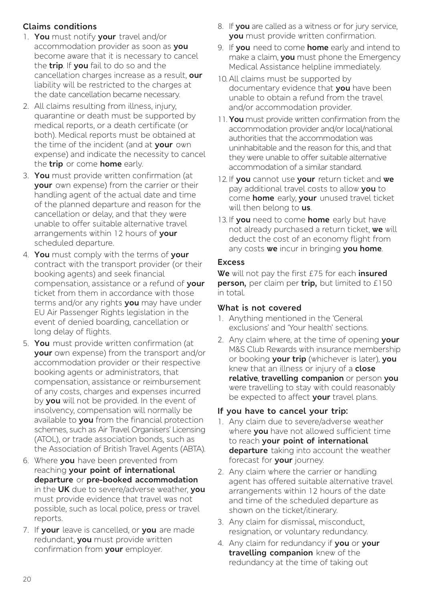#### **Claims conditions**

- 1. **You** must notify **your** travel and/or accommodation provider as soon as **you** become aware that it is necessary to cancel the **trip**. If **you** fail to do so and the cancellation charges increase as a result, **our** liability will be restricted to the charges at the date cancellation became necessary.
- 2. All claims resulting from illness, injury, quarantine or death must be supported by medical reports, or a death certificate (or both). Medical reports must be obtained at the time of the incident (and at **your** own expense) and indicate the necessity to cancel the **trip** or come **home** early.
- 3. **You** must provide written confirmation (at **your** own expense) from the carrier or their handling agent of the actual date and time of the planned departure and reason for the cancellation or delay, and that they were unable to offer suitable alternative travel arrangements within 12 hours of **your**  scheduled departure.
- 4. **You** must comply with the terms of **your**  contract with the transport provider (or their booking agents) and seek financial compensation, assistance or a refund of **your**  ticket from them in accordance with those terms and/or any rights **you** may have under EU Air Passenger Rights legislation in the event of denied boarding, cancellation or long delay of flights.
- 5. **You** must provide written confirmation (at **your** own expense) from the transport and/or accommodation provider or their respective booking agents or administrators, that compensation, assistance or reimbursement of any costs, charges and expenses incurred by **you** will not be provided. In the event of insolvency, compensation will normally be available to **you** from the financial protection schemes, such as Air Travel Organisers' Licensing (ATOL), or trade association bonds, such as the Association of British Travel Agents (ABTA).
- 6. Where **you** have been prevented from reaching **your point of international departure** or **pre-booked accommodation** in the **UK** due to severe/adverse weather, **you** must provide evidence that travel was not possible, such as local police, press or travel reports.
- 7. If **your** leave is cancelled, or **you** are made redundant, **you** must provide written confirmation from **your** employer.
- 8. If **you** are called as a witness or for jury service, **you** must provide written confirmation.
- 9. If **you** need to come **home** early and intend to make a claim, **you** must phone the Emergency Medical Assistance helpline immediately.
- 10. All claims must be supported by documentary evidence that **you** have been unable to obtain a refund from the travel and/or accommodation provider.
- 11. **You** must provide written confirmation from the accommodation provider and/or local/national authorities that the accommodation was uninhabitable and the reason for this, and that they were unable to offer suitable alternative accommodation of a similar standard.
- 12. If **you** cannot use **your** return ticket and **we** pay additional travel costs to allow **you** to come **home** early, **your** unused travel ticket will then belong to **us**.
- 13. If **you** need to come **home** early but have not already purchased a return ticket, **we** will deduct the cost of an economy flight from any costs **we** incur in bringing **you home**.

#### **Excess**

**We** will not pay the first £75 for each **insured person,** per claim per **trip,** but limited to £150 in total.

#### **What is not covered**

- 1. Anything mentioned in the 'General exclusions' and 'Your health' sections.
- 2. Any claim where, at the time of opening **your** M&S Club Rewards with insurance membership or booking **your trip** (whichever is later), **you** knew that an illness or injury of a **close relative**, **travelling companion** or person **you** were travelling to stay with could reasonably be expected to affect **your** travel plans.

#### **If you have to cancel your trip:**

- 1. Any claim due to severe/adverse weather where **you** have not allowed sufficient time to reach **your point of international departure** taking into account the weather forecast for **your** journey.
- 2. Any claim where the carrier or handling agent has offered suitable alternative travel arrangements within 12 hours of the date and time of the scheduled departure as shown on the ticket/itinerary.
- 3. Any claim for dismissal, misconduct, resignation, or voluntary redundancy.
- 4. Any claim for redundancy if **you** or **your travelling companion** knew of the redundancy at the time of taking out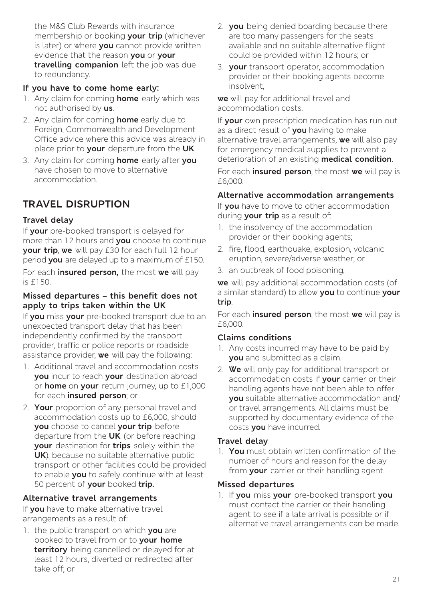the M&S Club Rewards with insurance membership or booking **your trip** (whichever is later) or where **you** cannot provide written evidence that the reason **you** or **your travelling companion** left the job was due to redundancy.

#### **If you have to come home early:**

- 1. Any claim for coming **home** early which was not authorised by **us**.
- 2. Any claim for coming **home** early due to Foreign, Commonwealth and Development Office advice where this advice was already in place prior to **your** departure from the **UK**.
- 3. Any claim for coming **home** early after **you** have chosen to move to alternative accommodation.

# **TRAVEL DISRUPTION**

#### **Travel delay**

If **your** pre-booked transport is delayed for more than 12 hours and **you** choose to continue **your trip**, **we** will pay £30 for each full 12 hour period **you** are delayed up to a maximum of £150.

For each **insured person,** the most **we** will pay is £150.

#### **Missed departures – this benefit does not apply to trips taken within the UK**

If **you** miss **your** pre-booked transport due to an unexpected transport delay that has been independently confirmed by the transport provider, traffic or police reports or roadside assistance provider, **we** will pay the following:

- 1. Additional travel and accommodation costs **you** incur to reach **your** destination abroad or **home** on **your** return journey, up to £1,000 for each **insured person**; or
- 2. **Your** proportion of any personal travel and accommodation costs up to £6,000, should **you** choose to cancel **your trip** before departure from the **UK** (or before reaching **your** destination for **trips** solely within the **UK**), because no suitable alternative public transport or other facilities could be provided to enable **you** to safely continue with at least 50 percent of **your** booked **trip.**

#### **Alternative travel arrangements**

If **you** have to make alternative travel arrangements as a result of:

1. the public transport on which **you** are booked to travel from or to **your home territory** being cancelled or delayed for at least 12 hours, diverted or redirected after take off; or

- 2. **you** being denied boarding because there are too many passengers for the seats available and no suitable alternative flight could be provided within 12 hours; or
- 3. **your** transport operator, accommodation provider or their booking agents become insolvent,

**we** will pay for additional travel and accommodation costs.

If **your** own prescription medication has run out as a direct result of **you** having to make alternative travel arrangements, **we** will also pay for emergency medical supplies to prevent a deterioration of an existing **medical condition**.

For each **insured person**, the most **we** will pay is £6,000.

#### **Alternative accommodation arrangements**

If **you** have to move to other accommodation during **your trip** as a result of:

- 1. the insolvency of the accommodation provider or their booking agents;
- 2. fire, flood, earthquake, explosion, volcanic eruption, severe/adverse weather; or
- 3. an outbreak of food poisoning,

**we** will pay additional accommodation costs (of a similar standard) to allow **you** to continue **your trip**.

For each **insured person**, the most **we** will pay is £6,000.

#### **Claims conditions**

- 1. Any costs incurred may have to be paid by **you** and submitted as a claim.
- 2. **We** will only pay for additional transport or accommodation costs if **your** carrier or their handling agents have not been able to offer **you** suitable alternative accommodation and/ or travel arrangements. All claims must be supported by documentary evidence of the costs **you** have incurred.

#### **Travel delay**

1. **You** must obtain written confirmation of the number of hours and reason for the delay from **your** carrier or their handling agent.

#### **Missed departures**

1. If **you** miss **your** pre-booked transport **you** must contact the carrier or their handling agent to see if a late arrival is possible or if alternative travel arrangements can be made.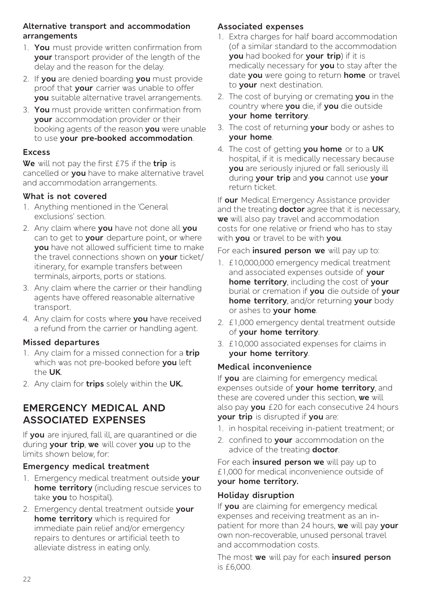#### **Alternative transport and accommodation arrangements**

- 1. **You** must provide written confirmation from **your** transport provider of the length of the delay and the reason for the delay.
- 2. If **you** are denied boarding **you** must provide proof that **your** carrier was unable to offer **you** suitable alternative travel arrangements.
- 3. **You** must provide written confirmation from **your** accommodation provider or their booking agents of the reason **you** were unable to use **your pre-booked accommodation**.

#### **Excess**

**We** will not pay the first £75 if the **trip** is cancelled or **you** have to make alternative travel and accommodation arrangements.

#### **What is not covered**

- 1. Anything mentioned in the 'General exclusions' section.
- 2. Any claim where **you** have not done all **you** can to get to **your** departure point, or where **you** have not allowed sufficient time to make the travel connections shown on **your** ticket/ itinerary, for example transfers between terminals, airports, ports or stations.
- 3. Any claim where the carrier or their handling agents have offered reasonable alternative transport.
- 4. Any claim for costs where **you** have received a refund from the carrier or handling agent.

#### **Missed departures**

- 1. Any claim for a missed connection for a **trip** which was not pre-booked before **you** left the **UK**.
- 2. Any claim for **trips** solely within the **UK.**

# **EMERGENCY MEDICAL AND ASSOCIATED EXPENSES**

If **you** are injured, fall ill, are quarantined or die during **your trip**, **we** will cover **you** up to the limits shown below, for:

#### **Emergency medical treatment**

- 1. Emergency medical treatment outside **your home territory** (including rescue services to take **you** to hospital).
- 2. Emergency dental treatment outside **your home territory** which is required for immediate pain relief and/or emergency repairs to dentures or artificial teeth to alleviate distress in eating only.

#### **Associated expenses**

- 1. Extra charges for half board accommodation (of a similar standard to the accommodation **you** had booked for **your trip**) if it is medically necessary for **you** to stay after the date **you** were going to return **home** or travel to **your** next destination.
- 2. The cost of burying or cremating **you** in the country where **you** die, if **you** die outside **your home territory**.
- 3. The cost of returning **your** body or ashes to **your home**.
- 4. The cost of getting **you home** or to a **UK**  hospital, if it is medically necessary because **you** are seriously injured or fall seriously ill during **your trip** and **you** cannot use **your** return ticket.

If **our** Medical Emergency Assistance provider and the treating **doctor** agree that it is necessary, **we** will also pay travel and accommodation costs for one relative or friend who has to stay with **you** or travel to be with **you**.

For each **insured person we** will pay up to:

- 1. £10,000,000 emergency medical treatment and associated expenses outside of **your home territory**, including the cost of **your**  burial or cremation if **you** die outside of **your home territory**, and/or returning **your** body or ashes to **your home**.
- 2. £1,000 emergency dental treatment outside of **your home territory**.
- 3. £10,000 associated expenses for claims in **your home territory**.

#### **Medical inconvenience**

If **you** are claiming for emergency medical expenses outside of **your home territory**, and these are covered under this section, **we** will also pay **you** £20 for each consecutive 24 hours **your trip** is disrupted if **you** are:

- 1. in hospital receiving in-patient treatment; or
- 2. confined to **your** accommodation on the advice of the treating **doctor**.

For each **insured person we** will pay up to £1,000 for medical inconvenience outside of **your home territory.**

#### **Holiday disruption**

If **you** are claiming for emergency medical expenses and receiving treatment as an inpatient for more than 24 hours, **we** will pay **your**  own non-recoverable, unused personal travel and accommodation costs.

The most **we** will pay for each **insured person** is £6,000.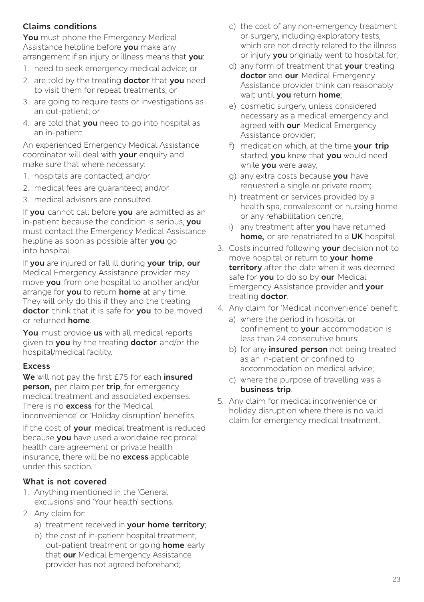#### **Claims conditions**

**You** must phone the Emergency Medical Assistance helpline before **you** make any arrangement if an injury or illness means that **you**:

- 1. need to seek emergency medical advice; or
- 2. are told by the treating **doctor** that **you** need to visit them for repeat treatments; or
- 3. are going to require tests or investigations as an out-patient; or
- 4. are told that **you** need to go into hospital as an in-patient.

An experienced Emergency Medical Assistance coordinator will deal with **your** enquiry and make sure that where necessary:

- 1. hospitals are contacted; and/or
- 2. medical fees are guaranteed; and/or
- 3. medical advisors are consulted.

If **you** cannot call before **you** are admitted as an in-patient because the condition is serious, **you** must contact the Emergency Medical Assistance helpline as soon as possible after **you** go into hospital.

If **you** are injured or fall ill during **your trip, our**  Medical Emergency Assistance provider may move **you** from one hospital to another and/or arrange for **you** to return **home** at any time. They will only do this if they and the treating **doctor** think that it is safe for **you** to be moved or returned **home**.

**You** must provide **us** with all medical reports given to **you** by the treating **doctor** and/or the hospital/medical facility.

#### **Excess**

**We** will not pay the first £75 for each **insured person,** per claim per **trip**, for emergency medical treatment and associated expenses. There is no **excess** for the 'Medical inconvenience' or 'Holiday disruption' benefits.

If the cost of **your** medical treatment is reduced because **you** have used a worldwide reciprocal health care agreement or private health insurance, there will be no **excess** applicable under this section.

#### **What is not covered**

- 1. Anything mentioned in the 'General exclusions' and 'Your health' sections.
- 2. Any claim for:
	- a) treatment received in **your home territory**;
	- b) the cost of in-patient hospital treatment, out-patient treatment or going **home** early that **our** Medical Emergency Assistance provider has not agreed beforehand;
- c) the cost of any non-emergency treatment or surgery, including exploratory tests, which are not directly related to the illness or injury **you** originally went to hospital for;
- d) any form of treatment that **your** treating **doctor** and **our** Medical Emergency Assistance provider think can reasonably wait until **you** return **home**;
- e) cosmetic surgery, unless considered necessary as a medical emergency and agreed with **our** Medical Emergency Assistance provider;
- f) medication which, at the time **your trip** started, **you** knew that **you** would need while **you** were away;
- g) any extra costs because **you** have requested a single or private room;
- h) treatment or services provided by a health spa, convalescent or nursing home or any rehabilitation centre;
- i) any treatment after **you** have returned **home,** or are repatriated to a **UK** hospital.
- 3. Costs incurred following **your** decision not to move hospital or return to **your home territory** after the date when it was deemed safe for **you** to do so by **our** Medical Emergency Assistance provider and **your** treating **doctor**.
- 4. Any claim for 'Medical inconvenience' benefit:
	- a) where the period in hospital or confinement to **your** accommodation is less than 24 consecutive hours;
	- b) for any **insured person** not being treated as an in-patient or confined to accommodation on medical advice;
	- c) where the purpose of travelling was a **business trip**.
- 5. Any claim for medical inconvenience or holiday disruption where there is no valid claim for emergency medical treatment.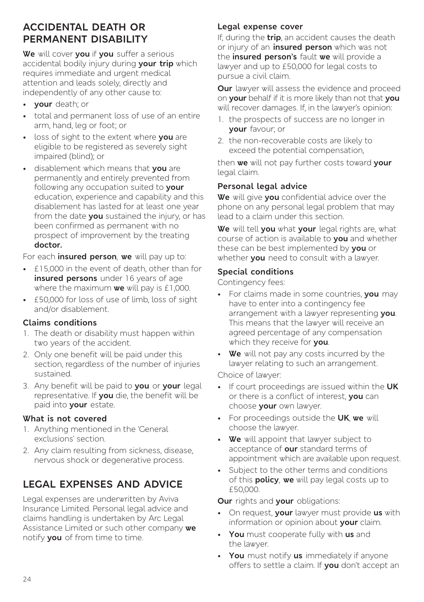# **ACCIDENTAL DEATH OR PERMANENT DISABILITY**

**We** will cover **you** if **you** suffer a serious accidental bodily injury during **your trip** which requires immediate and urgent medical attention and leads solely, directly and independently of any other cause to:

- **your** death; or
- total and permanent loss of use of an entire arm, hand, leg or foot; or
- loss of sight to the extent where **you** are eligible to be registered as severely sight impaired (blind); or
- disablement which means that **you** are permanently and entirely prevented from following any occupation suited to **your** education, experience and capability and this disablement has lasted for at least one year from the date **you** sustained the injury, or has been confirmed as permanent with no prospect of improvement by the treating **doctor.**

For each **insured person**, **we** will pay up to:

- £15,000 in the event of death, other than for **insured persons** under 16 years of age where the maximum **we** will pay is £1,000.
- £50,000 for loss of use of limb, loss of sight and/or disablement.

#### **Claims conditions**

- 1. The death or disability must happen within two years of the accident.
- 2. Only one benefit will be paid under this section, regardless of the number of injuries sustained.
- 3. Any benefit will be paid to **you** or **your** legal representative. If **you** die, the benefit will be paid into **your** estate.

#### **What is not covered**

- 1. Anything mentioned in the 'General exclusions' section.
- 2. Any claim resulting from sickness, disease, nervous shock or degenerative process.

# **LEGAL EXPENSES AND ADVICE**

Legal expenses are underwritten by Aviva Insurance Limited. Personal legal advice and claims handling is undertaken by Arc Legal Assistance Limited or such other company **we**  notify **you** of from time to time.

#### **Legal expense cover**

If, during the **trip**, an accident causes the death or injury of an **insured person** which was not the **insured person's** fault **we** will provide a lawyer and up to £50,000 for legal costs to pursue a civil claim.

**Our** lawyer will assess the evidence and proceed on **your** behalf if it is more likely than not that **you** will recover damages. If, in the lawyer's opinion:

- 1. the prospects of success are no longer in **your** favour; or
- 2. the non-recoverable costs are likely to exceed the potential compensation,

then **we** will not pay further costs toward **your**  legal claim.

#### **Personal legal advice**

**We** will give **you** confidential advice over the phone on any personal legal problem that may lead to a claim under this section.

**We** will tell **you** what **your** legal rights are, what course of action is available to **you** and whether these can be best implemented by **you** or whether **you** need to consult with a lawyer.

#### **Special conditions**

Contingency fees:

- For claims made in some countries, **you** may have to enter into a contingency fee arrangement with a lawyer representing **you**. This means that the lawyer will receive an agreed percentage of any compensation which they receive for **you**.
- **We** will not pay any costs incurred by the lawyer relating to such an arrangement.

Choice of lawyer:

- If court proceedings are issued within the **UK** or there is a conflict of interest, **you** can choose **your** own lawyer.
- For proceedings outside the **UK**, **we** will choose the lawyer.
- **We** will appoint that lawyer subject to acceptance of **our** standard terms of appointment which are available upon request.
- Subject to the other terms and conditions of this **policy**, **we** will pay legal costs up to £50,000.

**Our** rights and **your** obligations:

- On request, **your** lawyer must provide **us** with information or opinion about **your** claim.
- **You** must cooperate fully with **us** and the lawyer.
- **You** must notify **us** immediately if anyone offers to settle a claim. If **you** don't accept an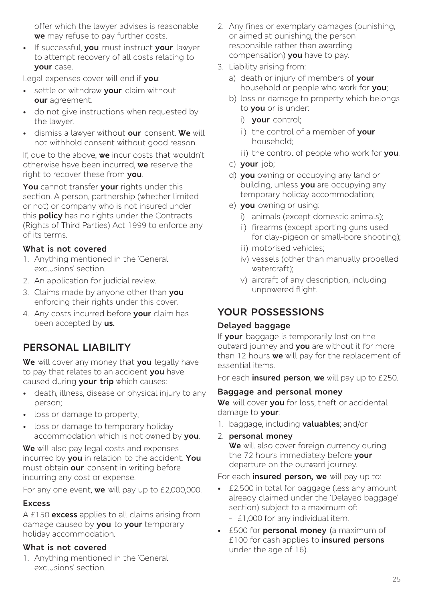offer which the lawyer advises is reasonable **we** may refuse to pay further costs.

• If successful, **you** must instruct **your** lawyer to attempt recovery of all costs relating to **your** case.

Legal expenses cover will end if **you**:

- settle or withdraw **your** claim without **our** agreement.
- do not give instructions when requested by the lawyer.
- dismiss a lawyer without **our** consent. **We** will not withhold consent without good reason.

If, due to the above, **we** incur costs that wouldn't otherwise have been incurred, **we** reserve the right to recover these from **you**.

**You** cannot transfer **your** rights under this section. A person, partnership (whether limited or not) or company who is not insured under this **policy** has no rights under the Contracts (Rights of Third Parties) Act 1999 to enforce any of its terms.

#### **What is not covered**

- 1. Anything mentioned in the 'General exclusions' section.
- 2. An application for judicial review.
- 3. Claims made by anyone other than **you** enforcing their rights under this cover.
- 4. Any costs incurred before **your** claim has been accepted by **us.**

# **PERSONAL LIABILITY**

**We** will cover any money that **you** legally have to pay that relates to an accident **you** have caused during **your trip** which causes:

- death, illness, disease or physical injury to any person;
- loss or damage to property;
- loss or damage to temporary holiday accommodation which is not owned by **you**.

**We** will also pay legal costs and expenses incurred by **you** in relation to the accident. **You**  must obtain **our** consent in writing before incurring any cost or expense.

For any one event, **we** will pay up to £2,000,000.

#### **Excess**

A £150 **excess** applies to all claims arising from damage caused by **you** to **your** temporary holiday accommodation.

#### **What is not covered**

1. Anything mentioned in the 'General exclusions' section.

- 2. Any fines or exemplary damages (punishing, or aimed at punishing, the person responsible rather than awarding compensation) **you** have to pay.
- 3. Liability arising from:
	- a) death or injury of members of **your** household or people who work for **you**;
	- b) loss or damage to property which belongs to **you** or is under:
		- i) **your** control;
		- ii) the control of a member of **your** household;
		- iii) the control of people who work for **you**.
	- c) **your** job;
	- d) **you** owning or occupying any land or building, unless **you** are occupying any temporary holiday accommodation;
	- e) **you** owning or using:
		- i) animals (except domestic animals);
		- ii) firearms (except sporting guns used for clay-pigeon or small-bore shooting);
		- iii) motorised vehicles;
		- iv) vessels (other than manually propelled watercraft);
		- v) aircraft of any description, including unpowered flight.

# **YOUR POSSESSIONS**

#### **Delayed baggage**

If **your** baggage is temporarily lost on the outward journey and **you** are without it for more than 12 hours **we** will pay for the replacement of essential items.

For each **insured person**, **we** will pay up to £250.

#### **Baggage and personal money**

**We** will cover **you** for loss, theft or accidental damage to **your**:

- 1. baggage, including **valuables**; and/or
- 2. **personal money** We will also cover foreign currency during the 72 hours immediately before **your**  departure on the outward journey.

For each **insured person, we** will pay up to:

- £2,500 in total for baggage (less any amount already claimed under the 'Delayed baggage' section) subject to a maximum of:
	- £1,000 for any individual item.
- £500 for **personal money** (a maximum of £100 for cash applies to **insured persons**  under the age of 16).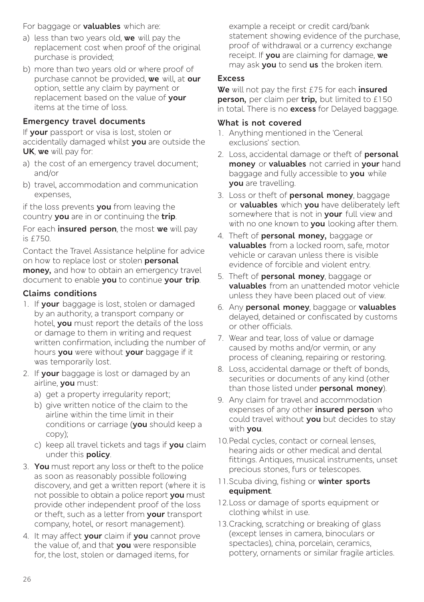#### For baggage or **valuables** which are:

- a) less than two years old, **we** will pay the replacement cost when proof of the original purchase is provided;
- b) more than two years old or where proof of purchase cannot be provided, **we** will, at **our**  option, settle any claim by payment or replacement based on the value of **your** items at the time of loss.

#### **Emergency travel documents**

If **your** passport or visa is lost, stolen or accidentally damaged whilst **you** are outside the **UK**, **we** will pay for:

- a) the cost of an emergency travel document; and/or
- b) travel, accommodation and communication expenses,

if the loss prevents **you** from leaving the country **you** are in or continuing the **trip**.

For each **insured person**, the most **we** will pay is £750.

Contact the Travel Assistance helpline for advice on how to replace lost or stolen **personal money,** and how to obtain an emergency travel document to enable **you** to continue **your trip**.

#### **Claims conditions**

- 1. If **your** baggage is lost, stolen or damaged by an authority, a transport company or hotel, **you** must report the details of the loss or damage to them in writing and request written confirmation, including the number of hours **you** were without **your** baggage if it was temporarily lost.
- 2. If **your** baggage is lost or damaged by an airline, **you** must:
	- a) get a property irregularity report;
	- b) give written notice of the claim to the airline within the time limit in their conditions or carriage (**you** should keep a copy);
	- c) keep all travel tickets and tags if **you** claim under this **policy**.
- 3. **You** must report any loss or theft to the police as soon as reasonably possible following discovery, and get a written report (where it is not possible to obtain a police report **you** must provide other independent proof of the loss or theft, such as a letter from **your** transport company, hotel, or resort management).
- 4. It may affect **your** claim if **you** cannot prove the value of, and that **you** were responsible for, the lost, stolen or damaged items, for

example a receipt or credit card/bank statement showing evidence of the purchase, proof of withdrawal or a currency exchange receipt. If **you** are claiming for damage, **we** may ask **you** to send **us** the broken item.

#### **Excess**

**We** will not pay the first £75 for each **insured person,** per claim per **trip,** but limited to £150 in total. There is no **excess** for Delayed baggage.

#### **What is not covered**

- 1. Anything mentioned in the 'General exclusions' section.
- 2. Loss, accidental damage or theft of **personal money** or **valuables** not carried in **your** hand baggage and fully accessible to **you** while **you** are travelling.
- 3. Loss or theft of **personal money**, baggage or **valuables** which **you** have deliberately left somewhere that is not in **your** full view and with no one known to **you** looking after them.
- 4. Theft of **personal money,** baggage or **valuables** from a locked room, safe, motor vehicle or caravan unless there is visible evidence of forcible and violent entry.
- 5. Theft of **personal money**, baggage or **valuables** from an unattended motor vehicle unless they have been placed out of view.
- 6. Any **personal money**, baggage or **valuables**  delayed, detained or confiscated by customs or other officials.
- 7. Wear and tear, loss of value or damage caused by moths and/or vermin, or any process of cleaning, repairing or restoring.
- 8. Loss, accidental damage or theft of bonds, securities or documents of any kind (other than those listed under **personal money**).
- 9. Any claim for travel and accommodation expenses of any other **insured person** who could travel without **you** but decides to stay with **you**.
- 10.Pedal cycles, contact or corneal lenses, hearing aids or other medical and dental fittings. Antiques, musical instruments, unset precious stones, furs or telescopes.
- 11.Scuba diving, fishing or **winter sports equipment**.
- 12.Loss or damage of sports equipment or clothing whilst in use.
- 13.Cracking, scratching or breaking of glass (except lenses in camera, binoculars or spectacles), china, porcelain, ceramics, pottery, ornaments or similar fragile articles.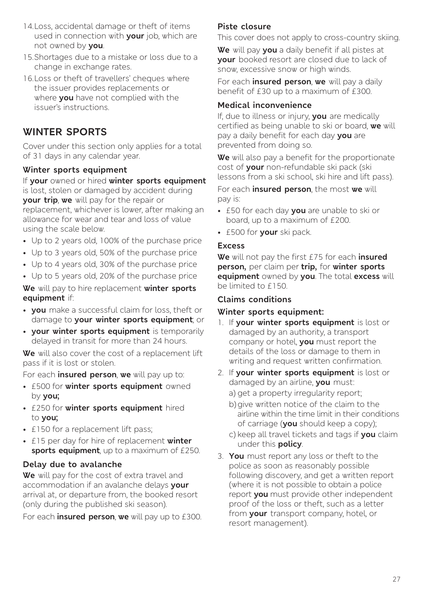- 14.Loss, accidental damage or theft of items used in connection with **your** job, which are not owned by **you**.
- 15.Shortages due to a mistake or loss due to a change in exchange rates.
- 16.Loss or theft of travellers' cheques where the issuer provides replacements or where **you** have not complied with the issuer's instructions.

### **WINTER SPORTS**

Cover under this section only applies for a total of 31 days in any calendar year.

#### **Winter sports equipment**

If **your** owned or hired **winter sports equipment**  is lost, stolen or damaged by accident during **your trip**, **we** will pay for the repair or replacement, whichever is lower, after making an allowance for wear and tear and loss of value using the scale below.

- Up to 2 years old, 100% of the purchase price
- Up to 3 years old, 50% of the purchase price
- Up to 4 years old, 30% of the purchase price
- Up to 5 years old, 20% of the purchase price

**We** will pay to hire replacement **winter sports equipment** if:

- **you** make a successful claim for loss, theft or damage to **your winter sports equipment**; or
- **your winter sports equipment** is temporarily delayed in transit for more than 24 hours.

**We** will also cover the cost of a replacement lift pass if it is lost or stolen.

For each **insured person**, **we** will pay up to:

- £500 for **winter sports equipment** owned by **you;**
- £250 for **winter sports equipment** hired to **you;**
- £150 for a replacement lift pass;
- £15 per day for hire of replacement **winter sports equipment**, up to a maximum of £250.

#### **Delay due to avalanche**

**We** will pay for the cost of extra travel and accommodation if an avalanche delays **your**  arrival at, or departure from, the booked resort (only during the published ski season).

For each **insured person**, **we** will pay up to £300.

#### **Piste closure**

This cover does not apply to cross-country skiing.

**We** will pay **you** a daily benefit if all pistes at **your** booked resort are closed due to lack of snow, excessive snow or high winds.

For each **insured person**, **we** will pay a daily benefit of £30 up to a maximum of £300.

#### **Medical inconvenience**

If, due to illness or injury, **you** are medically certified as being unable to ski or board, **we** will pay a daily benefit for each day **you** are prevented from doing so.

**We** will also pay a benefit for the proportionate cost of **your** non-refundable ski pack (ski lessons from a ski school, ski hire and lift pass).

For each **insured person**, the most **we** will pay is:

- £50 for each day **you** are unable to ski or board, up to a maximum of £200.
- £500 for **your** ski pack.

#### **Excess**

**We** will not pay the first £75 for each **insured person,** per claim per **trip,** for **winter sports equipment** owned by **you**. The total **excess** will be limited to £150.

#### **Claims conditions**

#### **Winter sports equipment:**

- 1. If **your winter sports equipment** is lost or damaged by an authority, a transport company or hotel, **you** must report the details of the loss or damage to them in writing and request written confirmation.
- 2. If **your winter sports equipment** is lost or damaged by an airline, **you** must:
	- a) get a property irregularity report;
	- b) give written notice of the claim to the airline within the time limit in their conditions of carriage (**you** should keep a copy);
	- c) keep all travel tickets and tags if **you** claim under this **policy**.
- 3. **You** must report any loss or theft to the police as soon as reasonably possible following discovery, and get a written report (where it is not possible to obtain a police report **you** must provide other independent proof of the loss or theft, such as a letter from **your** transport company, hotel, or resort management).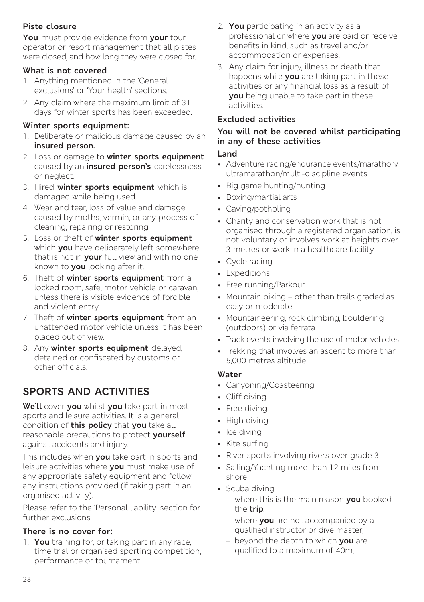#### **Piste closure**

**You** must provide evidence from **your** tour operator or resort management that all pistes were closed, and how long they were closed for.

#### **What is not covered**

- 1. Anything mentioned in the 'General exclusions' or 'Your health' sections.
- 2. Any claim where the maximum limit of 31 days for winter sports has been exceeded.

#### **Winter sports equipment:**

- 1. Deliberate or malicious damage caused by an **insured person.**
- 2. Loss or damage to **winter sports equipment** caused by an **insured person's** carelessness or neglect.
- 3. Hired **winter sports equipment** which is damaged while being used.
- 4. Wear and tear, loss of value and damage caused by moths, vermin, or any process of cleaning, repairing or restoring.
- 5. Loss or theft of **winter sports equipment**  which **you** have deliberately left somewhere that is not in **your** full view and with no one known to **you** looking after it.
- 6. Theft of **winter sports equipment** from a locked room, safe, motor vehicle or caravan, unless there is visible evidence of forcible and violent entry.
- 7. Theft of **winter sports equipment** from an unattended motor vehicle unless it has been placed out of view.
- 8. Any **winter sports equipment** delayed, detained or confiscated by customs or other officials.

# **SPORTS AND ACTIVITIES**

**We'll** cover **you** whilst **you** take part in most sports and leisure activities. It is a general condition of **this policy** that **you** take all reasonable precautions to protect **yourself** against accidents and injury.

This includes when **you** take part in sports and leisure activities where **you** must make use of any appropriate safety equipment and follow any instructions provided (if taking part in an organised activity).

Please refer to the 'Personal liability' section for further exclusions.

#### **There is no cover for:**

1. **You** training for, or taking part in any race, time trial or organised sporting competition, performance or tournament.

- 2. **You** participating in an activity as a professional or where **you** are paid or receive benefits in kind, such as travel and/or accommodation or expenses.
- 3. Any claim for injury, illness or death that happens while **you** are taking part in these activities or any financial loss as a result of **you** being unable to take part in these activities.

#### **Excluded activities**

#### **You will not be covered whilst participating in any of these activities**

#### **Land**

- Adventure racing/endurance events/marathon/ ultramarathon/multi-discipline events
- Big game hunting/hunting
- Boxing/martial arts
- Caving/potholing
- Charity and conservation work that is not organised through a registered organisation, is not voluntary or involves work at heights over 3 metres or work in a healthcare facility
- Cycle racing
- Expeditions
- Free running/Parkour
- Mountain biking other than trails graded as easy or moderate
- Mountaineering, rock climbing, bouldering (outdoors) or via ferrata
- Track events involving the use of motor vehicles
- Trekking that involves an ascent to more than 5,000 metres altitude

#### **Water**

- Canyoning/Coasteering
- Cliff diving
- Free divina
- High diving
- Ice divina
- Kite surfing
- River sports involving rivers over grade 3
- Sailing/Yachting more than 12 miles from shore
- Scuba diving
	- where this is the main reason **you** booked the **trip**;
	- where **you** are not accompanied by a qualified instructor or dive master;
	- beyond the depth to which **you** are qualified to a maximum of 40m;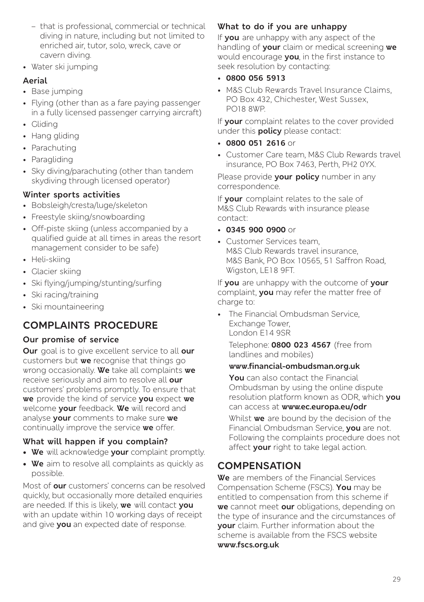- that is professional, commercial or technical diving in nature, including but not limited to enriched air, tutor, solo, wreck, cave or cavern diving.
- Water ski jumping

#### **Aerial**

- Base jumping
- Flying (other than as a fare paying passenger in a fully licensed passenger carrying aircraft)
- Gliding
- Hang gliding
- Parachuting
- Paragliding
- Sky diving/parachuting (other than tandem skydiving through licensed operator)

#### **Winter sports activities**

- Bobsleigh/cresta/luge/skeleton
- Freestyle skiing/snowboarding
- Off-piste skiing (unless accompanied by a qualified guide at all times in areas the resort management consider to be safe)
- Heli-skiing
- Glacier skiing
- Ski flying/jumping/stunting/surfing
- Ski racing/training
- Ski mountaineering

### **COMPLAINTS PROCEDURE**

#### **Our promise of service**

**Our** goal is to give excellent service to all **our**  customers but **we** recognise that things go wrong occasionally. **We** take all complaints **we**  receive seriously and aim to resolve all **our** customers' problems promptly. To ensure that **we** provide the kind of service **you** expect **we** welcome **your** feedback. **We** will record and analyse **your** comments to make sure **we** continually improve the service **we** offer.

#### **What will happen if you complain?**

- **• We** will acknowledge **your** complaint promptly.
- **• We** aim to resolve all complaints as quickly as possible.

Most of **our** customers' concerns can be resolved quickly, but occasionally more detailed enquiries are needed. If this is likely, **we** will contact **you** with an update within 10 working days of receipt and give **you** an expected date of response.

#### **What to do if you are unhappy**

If **you** are unhappy with any aspect of the handling of **your** claim or medical screening **we** would encourage **you**, in the first instance to seek resolution by contacting:

- **0800 056 5913**
- M&S Club Rewards Travel Insurance Claims, PO Box 432, Chichester, West Sussex, PO18 8WP.

If **your** complaint relates to the cover provided under this **policy** please contact:

- **0800 051 2616** or
- Customer Care team, M&S Club Rewards travel insurance, PO Box 7463, Perth, PH2 0YX.

Please provide **your policy** number in any correspondence.

If **your** complaint relates to the sale of M&S Club Rewards with insurance please contact:

- **0345 900 0900** or
- Customer Services team, M&S Club Rewards travel insurance, M&S Bank, PO Box 10565, 51 Saffron Road, Wigston, LE18 9FT.

If **you** are unhappy with the outcome of **your** complaint, **you** may refer the matter free of charge to:

• The Financial Ombudsman Service, Exchange Tower, London E14 9SR

Telephone: **0800 023 4567** (free from landlines and mobiles)

#### **[www.financial-ombudsman.org.uk](http://www.financial-ombudsman.org.uk)**

**You** can also contact the Financial Ombudsman by using the online dispute resolution platform known as ODR, which **you** can access at **[www.ec.europa.eu/odr](http://www.ec.europa.eu/odr)**

Whilst **we** are bound by the decision of the Financial Ombudsman Service, **you** are not. Following the complaints procedure does not affect **your** right to take legal action.

### **COMPENSATION**

**We** are members of the Financial Services Compensation Scheme (FSCS). **You** may be entitled to compensation from this scheme if **we** cannot meet **our** obligations, depending on the type of insurance and the circumstances of **your** claim. Further information about the scheme is available from the FSCS website **[www.fscs.org.uk](http://www.fscs.org.uk)**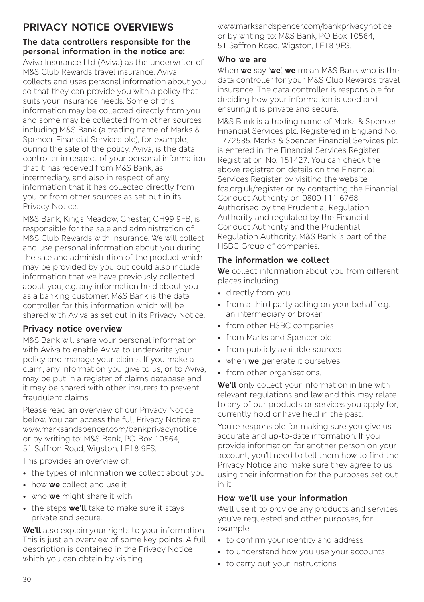# **PRIVACY NOTICE OVERVIEWS**

#### **The data controllers responsible for the personal information in the notice are:**

Aviva Insurance Ltd (Aviva) as the underwriter of M&S Club Rewards travel insurance. Aviva collects and uses personal information about you so that they can provide you with a policy that suits your insurance needs. Some of this information may be collected directly from you and some may be collected from other sources including M&S Bank (a trading name of Marks & Spencer Financial Services plc), for example, during the sale of the policy. Aviva, is the data controller in respect of your personal information that it has received from M&S Bank, as intermediary, and also in respect of any information that it has collected directly from you or from other sources as set out in its Privacy Notice.

M&S Bank, Kings Meadow, Chester, CH99 9FB, is responsible for the sale and administration of M&S Club Rewards with insurance. We will collect and use personal information about you during the sale and administration of the product which may be provided by you but could also include information that we have previously collected about you, e.g. any information held about you as a banking customer. M&S Bank is the data controller for this information which will be shared with Aviva as set out in its Privacy Notice.

#### **Privacy notice overview**

M&S Bank will share your personal information with Aviva to enable Aviva to underwrite your policy and manage your claims. If you make a claim, any information you give to us, or to Aviva, may be put in a register of claims database and it may be shared with other insurers to prevent fraudulent claims.

Please read an overview of our Privacy Notice below. You can access the full Privacy Notice at www.marksandspencer.com/bankprivacynotice or by writing to: M&S Bank, PO Box 10564, 51 Saffron Road, Wigston, LE18 9FS.

This provides an overview of:

- the types of information **we** collect about you
- how **we** collect and use it
- who **we** might share it with
- the steps **we'll** take to make sure it stays private and secure.

**We'll** also explain your rights to your information. This is just an overview of some key points. A full description is contained in the Privacy Notice which you can obtain by visiting

www.marksandspencer.com/bankprivacynotice or by writing to: M&S Bank, PO Box 10564, 51 Saffron Road, Wigston, LE18 9FS.

#### **Who we are**

When **we** say '**we**', **we** mean M&S Bank who is the data controller for your M&S Club Rewards travel insurance. The data controller is responsible for deciding how your information is used and ensuring it is private and secure.

M&S Bank is a trading name of Marks & Spencer Financial Services plc. Registered in England No. 1772585. Marks & Spencer Financial Services plc is entered in the Financial Services Register. Registration No. 151427. You can check the above registration details on the Financial Services Register by visiting the website fca.org.uk/register or by contacting the Financial Conduct Authority on 0800 111 6768. Authorised by the Prudential Regulation Authority and regulated by the Financial Conduct Authority and the Prudential Regulation Authority. M&S Bank is part of the HSBC Group of companies.

#### **The information we collect**

**We** collect information about you from different places including:

- directly from you
- from a third party acting on your behalf e.g. an intermediary or broker
- from other HSBC companies
- from Marks and Spencer plc
- from publicly available sources
- when **we** generate it ourselves
- from other organisations.

**We'll** only collect your information in line with relevant regulations and law and this may relate to any of our products or services you apply for, currently hold or have held in the past.

You're responsible for making sure you give us accurate and up-to-date information. If you provide information for another person on your account, you'll need to tell them how to find the Privacy Notice and make sure they agree to us using their information for the purposes set out in it.

#### **How we'll use your information**

We'll use it to provide any products and services you've requested and other purposes, for example:

- to confirm your identity and address
- to understand how you use your accounts
- to carry out your instructions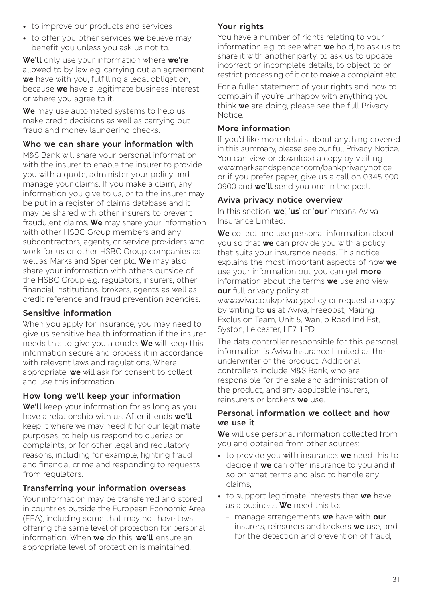- to improve our products and services
- to offer you other services **we** believe may benefit you unless you ask us not to.

**We'll** only use your information where **we're** allowed to by law e.g. carrying out an agreement **we** have with you, fulfilling a legal obligation, because **we** have a legitimate business interest or where you agree to it.

**We** may use automated systems to help us make credit decisions as well as carrying out fraud and money laundering checks.

#### **Who we can share your information with**

M&S Bank will share your personal information with the insurer to enable the insurer to provide you with a quote, administer your policy and manage your claims. If you make a claim, any information you give to us, or to the insurer may be put in a register of claims database and it may be shared with other insurers to prevent fraudulent claims. **We** may share your information with other HSBC Group members and any subcontractors, agents, or service providers who work for us or other HSBC Group companies as well as Marks and Spencer plc. **We** may also share your information with others outside of the HSBC Group e.g. regulators, insurers, other financial institutions, brokers, agents as well as credit reference and fraud prevention agencies.

#### **Sensitive information**

When you apply for insurance, you may need to give us sensitive health information if the insurer needs this to give you a quote. **We** will keep this information secure and process it in accordance with relevant laws and regulations. Where appropriate, **we** will ask for consent to collect and use this information.

#### **How long we'll keep your information**

**We'll** keep your information for as long as you have a relationship with us. After it ends **we'll** keep it where we may need it for our legitimate purposes, to help us respond to queries or complaints, or for other legal and regulatory reasons, including for example, fighting fraud and financial crime and responding to requests from regulators.

#### **Transferring your information overseas**

Your information may be transferred and stored in countries outside the European Economic Area (EEA), including some that may not have laws offering the same level of protection for personal information. When **we** do this, **we'll** ensure an appropriate level of protection is maintained.

#### **Your rights**

You have a number of rights relating to your information e.g. to see what **we** hold, to ask us to share it with another party, to ask us to update incorrect or incomplete details, to object to or restrict processing of it or to make a complaint etc.

For a fuller statement of your rights and how to complain if you're unhappy with anything you think **we** are doing, please see the full Privacy Notice.

#### **More information**

If you'd like more details about anything covered in this summary, please see our full Privacy Notice. You can view or download a copy by visiting www.marksandspencer.com/bankprivacynotice or if you prefer paper, give us a call on 0345 900 0900 and **we'll** send you one in the post.

#### **Aviva privacy notice overview**

In this section '**we**', '**us**' or '**our**' means Aviva Insurance Limited.

**We** collect and use personal information about you so that **we** can provide you with a policy that suits your insurance needs. This notice explains the most important aspects of how **we** use your information but you can get **more** information about the terms **we** use and view **our** full privacy policy at

www.aviva.co.uk/privacypolicy or request a copy by writing to **us** at Aviva, Freepost, Mailing Exclusion Team, Unit 5, Wanlip Road Ind Est, Syston, Leicester, LE7 1PD.

The data controller responsible for this personal information is Aviva Insurance Limited as the underwriter of the product. Additional controllers include M&S Bank, who are responsible for the sale and administration of the product, and any applicable insurers, reinsurers or brokers **we** use.

#### **Personal information we collect and how we use it**

**We** will use personal information collected from you and obtained from other sources:

- to provide you with insurance: **we** need this to decide if **we** can offer insurance to you and if so on what terms and also to handle any claims,
- to support legitimate interests that **we** have as a business. **We** need this to:
	- manage arrangements **we** have with **our** insurers, reinsurers and brokers **we** use, and for the detection and prevention of fraud,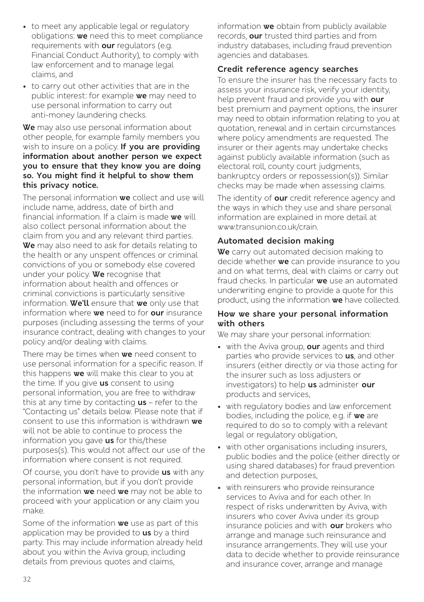- to meet any applicable legal or regulatory obligations: **we** need this to meet compliance requirements with **our** regulators (e.g. Financial Conduct Authority), to comply with law enforcement and to manage legal claims, and
- to carry out other activities that are in the public interest: for example **we** may need to use personal information to carry out anti-money laundering checks.

#### **We** may also use personal information about other people, for example family members you wish to insure on a policy. **If you are providing information about another person we expect you to ensure that they know you are doing so. You might find it helpful to show them this privacy notice.**

The personal information **we** collect and use will include name, address, date of birth and financial information. If a claim is made **we** will also collect personal information about the claim from you and any relevant third parties. **We** may also need to ask for details relating to the health or any unspent offences or criminal convictions of you or somebody else covered under your policy. **We** recognise that information about health and offences or criminal convictions is particularly sensitive information. **We'll** ensure that **we** only use that information where **we** need to for **our** insurance purposes (including assessing the terms of your insurance contract, dealing with changes to your policy and/or dealing with claims.

There may be times when **we** need consent to use personal information for a specific reason. If this happens **we** will make this clear to you at the time. If you give **us** consent to using personal information, you are free to withdraw this at any time by contacting **us** – refer to the "Contacting us" details below. Please note that if consent to use this information is withdrawn **we** will not be able to continue to process the information you gave **us** for this/these purposes(s). This would not affect our use of the information where consent is not required.

Of course, you don't have to provide **us** with any personal information, but if you don't provide the information **we** need **we** may not be able to proceed with your application or any claim you make.

Some of the information **we** use as part of this application may be provided to **us** by a third party. This may include information already held about you within the Aviva group, including details from previous quotes and claims,

information **we** obtain from publicly available records, **our** trusted third parties and from industry databases, including fraud prevention agencies and databases.

#### **Credit reference agency searches**

To ensure the insurer has the necessary facts to assess your insurance risk, verify your identity, help prevent fraud and provide you with **our** best premium and payment options, the insurer may need to obtain information relating to you at quotation, renewal and in certain circumstances where policy amendments are requested. The insurer or their agents may undertake checks against publicly available information (such as electoral roll, county court judgments, bankruptcy orders or repossession(s)). Similar checks may be made when assessing claims.

The identity of **our** credit reference agency and the ways in which they use and share personal information are explained in more detail at www.transunion.co.uk/crain.

#### **Automated decision making**

**We** carry out automated decision making to decide whether **we** can provide insurance to you and on what terms, deal with claims or carry out fraud checks. In particular **we** use an automated underwriting engine to provide a quote for this product, using the information **we** have collected.

#### **How we share your personal information with others**

We may share your personal information:

- with the Aviva group, **our** agents and third parties who provide services to **us**, and other insurers (either directly or via those acting for the insurer such as loss adjusters or investigators) to help **us** administer **our** products and services,
- with regulatory bodies and law enforcement bodies, including the police, e.g. if **we** are required to do so to comply with a relevant legal or regulatory obligation,
- with other organisations including insurers, public bodies and the police (either directly or using shared databases) for fraud prevention and detection purposes,
- with reinsurers who provide reinsurance services to Aviva and for each other. In respect of risks underwritten by Aviva, with insurers who cover Aviva under its group insurance policies and with **our** brokers who arrange and manage such reinsurance and insurance arrangements. They will use your data to decide whether to provide reinsurance and insurance cover, arrange and manage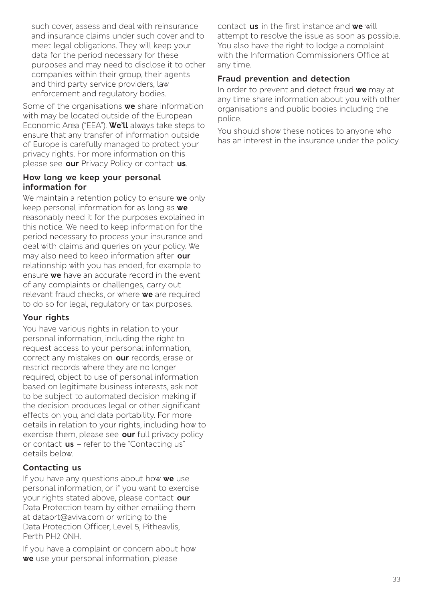such cover, assess and deal with reinsurance and insurance claims under such cover and to meet legal obligations. They will keep your data for the period necessary for these purposes and may need to disclose it to other companies within their group, their agents and third party service providers, law enforcement and regulatory bodies.

Some of the organisations **we** share information with may be located outside of the European Economic Area ("EEA"). **We'll** always take steps to ensure that any transfer of information outside of Europe is carefully managed to protect your privacy rights. For more information on this please see **our** Privacy Policy or contact **us**.

#### **How long we keep your personal information for**

We maintain a retention policy to ensure **we** only keep personal information for as long as **we** reasonably need it for the purposes explained in this notice. We need to keep information for the period necessary to process your insurance and deal with claims and queries on your policy. We may also need to keep information after **our** relationship with you has ended, for example to ensure **we** have an accurate record in the event of any complaints or challenges, carry out relevant fraud checks, or where **we** are required to do so for legal, regulatory or tax purposes.

#### **Your rights**

You have various rights in relation to your personal information, including the right to request access to your personal information, correct any mistakes on **our** records, erase or restrict records where they are no longer required, object to use of personal information based on legitimate business interests, ask not to be subject to automated decision making if the decision produces legal or other significant effects on you, and data portability. For more details in relation to your rights, including how to exercise them, please see **our** full privacy policy or contact **us** – refer to the "Contacting us" details below.

#### **Contacting us**

If you have any questions about how **we** use personal information, or if you want to exercise your rights stated above, please contact **our** Data Protection team by either emailing them at dataprt@aviva.com or writing to the Data Protection Officer, Level 5, Pitheavlis, Perth PH2 0NH.

If you have a complaint or concern about how **we** use your personal information, please

contact **us** in the first instance and **we** will attempt to resolve the issue as soon as possible. You also have the right to lodge a complaint with the Information Commissioners Office at any time.

#### **Fraud prevention and detection**

In order to prevent and detect fraud **we** may at any time share information about you with other organisations and public bodies including the police.

You should show these notices to anyone who has an interest in the insurance under the policy.